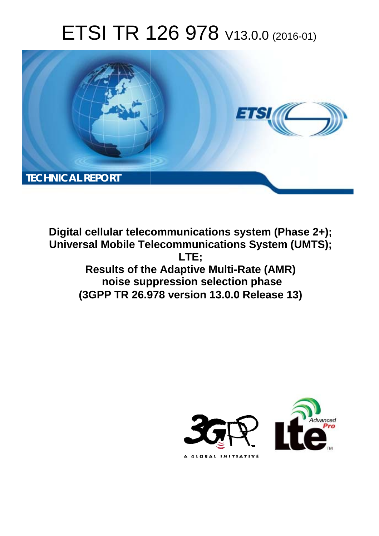# ETSI TR 126 978 V13.0.0 (2016-01)



**Digital cellular telecommunications system (Phase 2+); Universal Mobile Tel elecommunications System ( (UMTS); Results of the the Adaptive Multi-Rate (AMR) noise sup ppression selection phase Results of the Adaptive Multi-Rate (AMR)**<br>
noise suppression selection phase<br>
(3GPP TR 26.978 version 13.0.0 Release 13) **LTE;** 

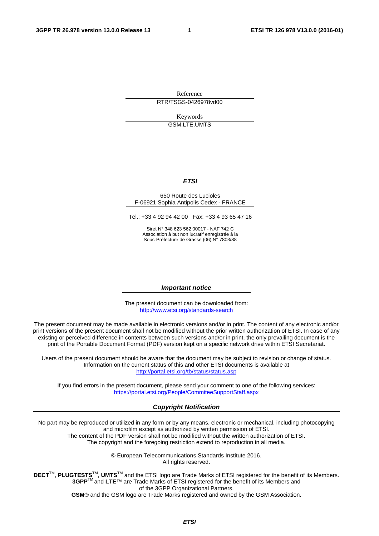Reference RTR/TSGS-0426978vd00

> Keywords GSM,LTE,UMTS

#### *ETSI*

#### 650 Route des Lucioles F-06921 Sophia Antipolis Cedex - FRANCE

Tel.: +33 4 92 94 42 00 Fax: +33 4 93 65 47 16

Siret N° 348 623 562 00017 - NAF 742 C Association à but non lucratif enregistrée à la Sous-Préfecture de Grasse (06) N° 7803/88

#### *Important notice*

The present document can be downloaded from: <http://www.etsi.org/standards-search>

The present document may be made available in electronic versions and/or in print. The content of any electronic and/or print versions of the present document shall not be modified without the prior written authorization of ETSI. In case of any existing or perceived difference in contents between such versions and/or in print, the only prevailing document is the print of the Portable Document Format (PDF) version kept on a specific network drive within ETSI Secretariat.

Users of the present document should be aware that the document may be subject to revision or change of status. Information on the current status of this and other ETSI documents is available at <http://portal.etsi.org/tb/status/status.asp>

If you find errors in the present document, please send your comment to one of the following services: <https://portal.etsi.org/People/CommiteeSupportStaff.aspx>

#### *Copyright Notification*

No part may be reproduced or utilized in any form or by any means, electronic or mechanical, including photocopying and microfilm except as authorized by written permission of ETSI.

The content of the PDF version shall not be modified without the written authorization of ETSI. The copyright and the foregoing restriction extend to reproduction in all media.

> © European Telecommunications Standards Institute 2016. All rights reserved.

**DECT**TM, **PLUGTESTS**TM, **UMTS**TM and the ETSI logo are Trade Marks of ETSI registered for the benefit of its Members. **3GPP**TM and **LTE**™ are Trade Marks of ETSI registered for the benefit of its Members and of the 3GPP Organizational Partners.

**GSM**® and the GSM logo are Trade Marks registered and owned by the GSM Association.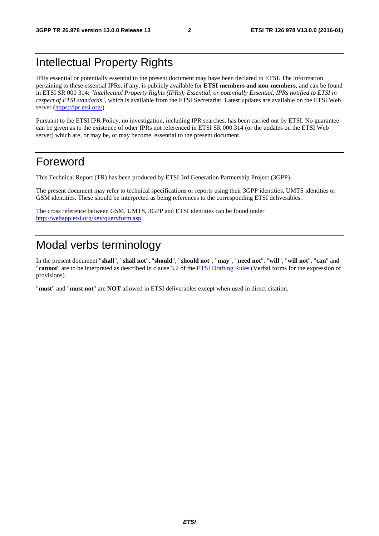## Intellectual Property Rights

IPRs essential or potentially essential to the present document may have been declared to ETSI. The information pertaining to these essential IPRs, if any, is publicly available for **ETSI members and non-members**, and can be found in ETSI SR 000 314: *"Intellectual Property Rights (IPRs); Essential, or potentially Essential, IPRs notified to ETSI in respect of ETSI standards"*, which is available from the ETSI Secretariat. Latest updates are available on the ETSI Web server [\(https://ipr.etsi.org/](https://ipr.etsi.org/)).

Pursuant to the ETSI IPR Policy, no investigation, including IPR searches, has been carried out by ETSI. No guarantee can be given as to the existence of other IPRs not referenced in ETSI SR 000 314 (or the updates on the ETSI Web server) which are, or may be, or may become, essential to the present document.

## Foreword

This Technical Report (TR) has been produced by ETSI 3rd Generation Partnership Project (3GPP).

The present document may refer to technical specifications or reports using their 3GPP identities, UMTS identities or GSM identities. These should be interpreted as being references to the corresponding ETSI deliverables.

The cross reference between GSM, UMTS, 3GPP and ETSI identities can be found under [http://webapp.etsi.org/key/queryform.as](http://webapp.etsi.org/key/queryform.asp)p.

## Modal verbs terminology

In the present document "**shall**", "**shall not**", "**should**", "**should not**", "**may**", "**need not**", "**will**", "**will not**", "**can**" and "**cannot**" are to be interpreted as described in clause 3.2 of the [ETSI Drafting Rules](http://portal.etsi.org/Help/editHelp!/Howtostart/ETSIDraftingRules.aspx) (Verbal forms for the expression of provisions).

"**must**" and "**must not**" are **NOT** allowed in ETSI deliverables except when used in direct citation.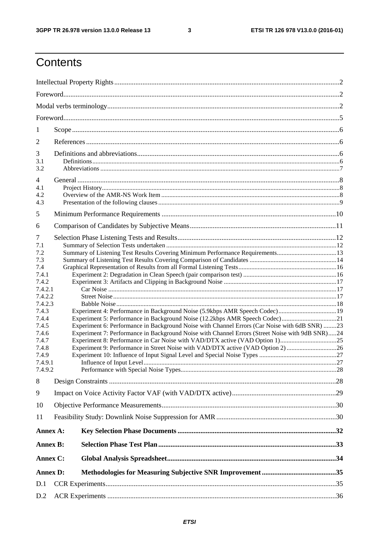$\mathbf{3}$ 

## Contents

| 1                  |                                                                                                 |  |
|--------------------|-------------------------------------------------------------------------------------------------|--|
| 2                  |                                                                                                 |  |
| 3                  |                                                                                                 |  |
| 3.1                |                                                                                                 |  |
| 3.2                |                                                                                                 |  |
| $\overline{4}$     |                                                                                                 |  |
| 4.1                |                                                                                                 |  |
| 4.2                |                                                                                                 |  |
| 4.3                |                                                                                                 |  |
| 5                  |                                                                                                 |  |
| 6                  |                                                                                                 |  |
| 7                  |                                                                                                 |  |
| 7.1                |                                                                                                 |  |
| 7.2                | Summary of Listening Test Results Covering Minimum Performance Requirements13                   |  |
| 7.3                |                                                                                                 |  |
| 7.4                |                                                                                                 |  |
| 7.4.1              |                                                                                                 |  |
| 7.4.2              |                                                                                                 |  |
| 7.4.2.1<br>7.4.2.2 |                                                                                                 |  |
| 7.4.2.3            |                                                                                                 |  |
| 7.4.3              | Experiment 4: Performance in Background Noise (5.9kbps AMR Speech Codec) 19                     |  |
| 7.4.4              | Experiment 5: Performance in Background Noise (12.2kbps AMR Speech Codec)21                     |  |
| 7.4.5              | Experiment 6: Performance in Background Noise with Channel Errors (Car Noise with 6dB SNR) 23   |  |
| 7.4.6              | Experiment 7: Performance in Background Noise with Channel Errors (Street Noise with 9dB SNR)24 |  |
| 7.4.7              |                                                                                                 |  |
| 7.4.8              | Experiment 9: Performance in Street Noise with VAD/DTX active (VAD Option 2) 26                 |  |
| 7.4.9              |                                                                                                 |  |
| 7.4.9.1<br>7.4.9.2 |                                                                                                 |  |
|                    |                                                                                                 |  |
| 8                  |                                                                                                 |  |
| 9                  |                                                                                                 |  |
| 10                 |                                                                                                 |  |
| 11                 |                                                                                                 |  |
| Annex A:           |                                                                                                 |  |
| <b>Annex B:</b>    |                                                                                                 |  |
| Annex C:           |                                                                                                 |  |
| <b>Annex D:</b>    |                                                                                                 |  |
|                    |                                                                                                 |  |
| D.1                |                                                                                                 |  |
| D.2                |                                                                                                 |  |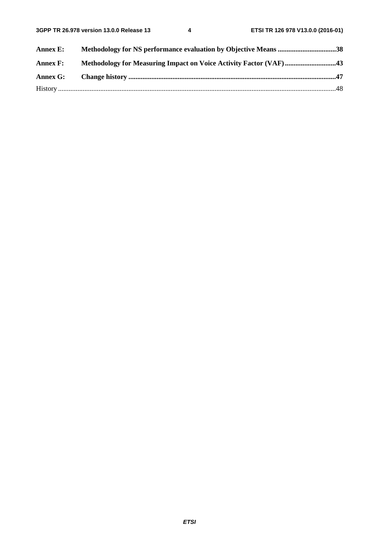| Annex E:        | Methodology for NS performance evaluation by Objective Means 38   |  |
|-----------------|-------------------------------------------------------------------|--|
| <b>Annex F:</b> | Methodology for Measuring Impact on Voice Activity Factor (VAF)43 |  |
| Annex G:        |                                                                   |  |
|                 |                                                                   |  |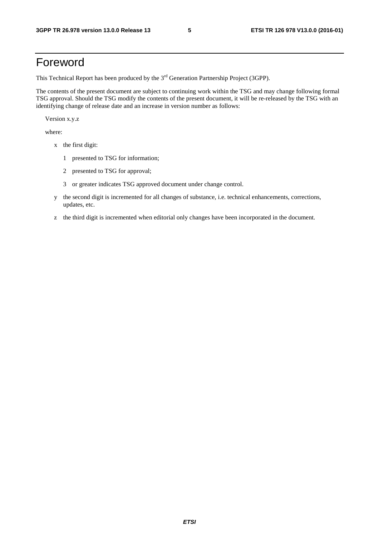## Foreword

This Technical Report has been produced by the  $3<sup>rd</sup>$  Generation Partnership Project (3GPP).

The contents of the present document are subject to continuing work within the TSG and may change following formal TSG approval. Should the TSG modify the contents of the present document, it will be re-released by the TSG with an identifying change of release date and an increase in version number as follows:

Version x.y.z

where:

- x the first digit:
	- 1 presented to TSG for information;
	- 2 presented to TSG for approval;
	- 3 or greater indicates TSG approved document under change control.
- y the second digit is incremented for all changes of substance, i.e. technical enhancements, corrections, updates, etc.
- z the third digit is incremented when editorial only changes have been incorporated in the document.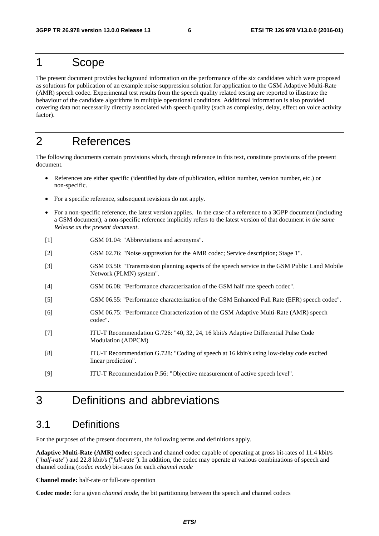### 1 Scope

The present document provides background information on the performance of the six candidates which were proposed as solutions for publication of an example noise suppression solution for application to the GSM Adaptive Multi-Rate (AMR) speech codec. Experimental test results from the speech quality related testing are reported to illustrate the behaviour of the candidate algorithms in multiple operational conditions. Additional information is also provided covering data not necessarily directly associated with speech quality (such as complexity, delay, effect on voice activity factor).

## 2 References

The following documents contain provisions which, through reference in this text, constitute provisions of the present document.

- References are either specific (identified by date of publication, edition number, version number, etc.) or non-specific.
- For a specific reference, subsequent revisions do not apply.
- For a non-specific reference, the latest version applies. In the case of a reference to a 3GPP document (including a GSM document), a non-specific reference implicitly refers to the latest version of that document *in the same Release as the present document*.
- [1] GSM 01.04: "Abbreviations and acronyms".
- [2] GSM 02.76: "Noise suppression for the AMR codec; Service description; Stage 1".
- [3] GSM 03.50: "Transmission planning aspects of the speech service in the GSM Public Land Mobile Network (PLMN) system".
- [4] GSM 06.08: "Performance characterization of the GSM half rate speech codec".
- [5] GSM 06.55: "Performance characterization of the GSM Enhanced Full Rate (EFR) speech codec".
- [6] GSM 06.75: "Performance Characterization of the GSM Adaptive Multi-Rate (AMR) speech codec".
- [7] ITU-T Recommendation G.726: "40, 32, 24, 16 kbit/s Adaptive Differential Pulse Code Modulation (ADPCM)
- [8] ITU-T Recommendation G.728: "Coding of speech at 16 kbit/s using low-delay code excited linear prediction".
- [9] ITU-T Recommendation P.56: "Objective measurement of active speech level".

## 3 Definitions and abbreviations

#### 3.1 Definitions

For the purposes of the present document, the following terms and definitions apply.

**Adaptive Multi-Rate (AMR) codec:** speech and channel codec capable of operating at gross bit-rates of 11.4 kbit/s ("*half-rate*") and 22.8 kbit/s ("*full-rate*"). In addition, the codec may operate at various combinations of speech and channel coding (*codec mode*) bit-rates for each *channel mode*

**Channel mode:** half-rate or full-rate operation

**Codec mode:** for a given *channel mode*, the bit partitioning between the speech and channel codecs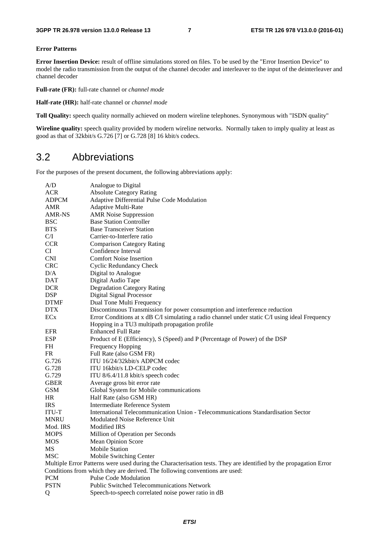#### **Error Patterns**

**Error Insertion Device:** result of offline simulations stored on files. To be used by the "Error Insertion Device" to model the radio transmission from the output of the channel decoder and interleaver to the input of the deinterleaver and channel decoder

**Full-rate (FR):** full-rate channel or *channel mode*

**Half-rate (HR):** half-rate channel or *channel mode*

**Toll Quality:** speech quality normally achieved on modern wireline telephones. Synonymous with "ISDN quality"

Wireline quality: speech quality provided by modern wireline networks. Normally taken to imply quality at least as good as that of 32kbit/s G.726 [7] or G.728 [8] 16 kbit/s codecs.

#### 3.2 Abbreviations

For the purposes of the present document, the following abbreviations apply:

| A/D             | Analogue to Digital                                                                                               |
|-----------------|-------------------------------------------------------------------------------------------------------------------|
| <b>ACR</b>      | <b>Absolute Category Rating</b>                                                                                   |
| <b>ADPCM</b>    | Adaptive Differential Pulse Code Modulation                                                                       |
| <b>AMR</b>      | <b>Adaptive Multi-Rate</b>                                                                                        |
| <b>AMR-NS</b>   | <b>AMR</b> Noise Suppression                                                                                      |
| <b>BSC</b>      | <b>Base Station Controller</b>                                                                                    |
| <b>BTS</b>      | <b>Base Transceiver Station</b>                                                                                   |
| C/I             | Carrier-to-Interfere ratio                                                                                        |
| <b>CCR</b>      | <b>Comparison Category Rating</b>                                                                                 |
| CI              | Confidence Interval                                                                                               |
| <b>CNI</b>      | <b>Comfort Noise Insertion</b>                                                                                    |
| <b>CRC</b>      | <b>Cyclic Redundancy Check</b>                                                                                    |
| D/A             | Digital to Analogue                                                                                               |
| <b>DAT</b>      | Digital Audio Tape                                                                                                |
| <b>DCR</b>      | <b>Degradation Category Rating</b>                                                                                |
| <b>DSP</b>      | Digital Signal Processor                                                                                          |
| <b>DTMF</b>     | Dual Tone Multi Frequency                                                                                         |
| <b>DTX</b>      | Discontinuous Transmission for power consumption and interference reduction                                       |
| EC <sub>x</sub> | Error Conditions at x dB C/I simulating a radio channel under static C/I using ideal Frequency                    |
|                 | Hopping in a TU3 multipath propagation profile                                                                    |
| <b>EFR</b>      | <b>Enhanced Full Rate</b>                                                                                         |
| <b>ESP</b>      | Product of E (Efficiency), S (Speed) and P (Percentage of Power) of the DSP                                       |
| <b>FH</b>       | Frequency Hopping                                                                                                 |
| <b>FR</b>       | Full Rate (also GSM FR)                                                                                           |
| G.726           | ITU 16/24/32 kbit/s ADPCM codec                                                                                   |
| G.728           | ITU 16kbit/s LD-CELP codec                                                                                        |
| G.729           | ITU 8/6.4/11.8 kbit/s speech codec                                                                                |
| <b>GBER</b>     | Average gross bit error rate                                                                                      |
| <b>GSM</b>      | Global System for Mobile communications                                                                           |
| HR              | Half Rate (also GSM HR)                                                                                           |
| <b>IRS</b>      | Intermediate Reference System                                                                                     |
| <b>ITU-T</b>    | International Telecommunication Union - Telecommunications Standardisation Sector                                 |
| <b>MNRU</b>     | Modulated Noise Reference Unit                                                                                    |
| Mod. IRS        | <b>Modified IRS</b>                                                                                               |
| <b>MOPS</b>     | Million of Operation per Seconds                                                                                  |
| MOS             | Mean Opinion Score                                                                                                |
| MS              | <b>Mobile Station</b>                                                                                             |
| <b>MSC</b>      | Mobile Switching Center                                                                                           |
|                 | Multiple Error Patterns were used during the Characterisation tests. They are identified by the propagation Error |
|                 | Conditions from which they are derived. The following conventions are used:                                       |
| <b>PCM</b>      | Pulse Code Modulation                                                                                             |
| <b>PSTN</b>     | Public Switched Telecommunications Network                                                                        |
| Q               | Speech-to-speech correlated noise power ratio in dB                                                               |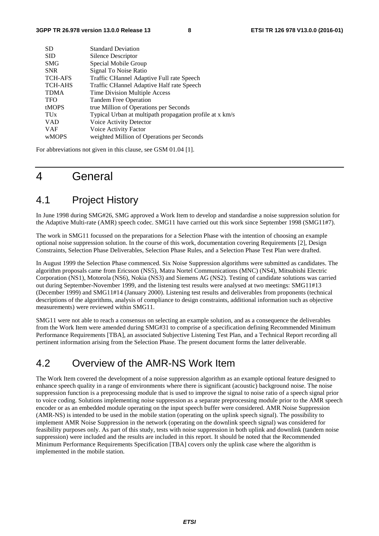| <b>SD</b>             | <b>Standard Deviation</b>                                |
|-----------------------|----------------------------------------------------------|
| <b>SID</b>            | Silence Descriptor                                       |
| <b>SMG</b>            | Special Mobile Group                                     |
| <b>SNR</b>            | Signal To Noise Ratio                                    |
| <b>TCH-AFS</b>        | Traffic CHannel Adaptive Full rate Speech                |
| <b>TCH-AHS</b>        | Traffic CHannel Adaptive Half rate Speech                |
| <b>TDMA</b>           | Time Division Multiple Access                            |
| <b>TFO</b>            | <b>Tandem Free Operation</b>                             |
| tMOPS                 | true Million of Operations per Seconds                   |
| <b>TU<sub>x</sub></b> | Typical Urban at multipath propagation profile at x km/s |
| <b>VAD</b>            | Voice Activity Detector                                  |
| <b>VAF</b>            | Voice Activity Factor                                    |
| <b>wMOPS</b>          | weighted Million of Operations per Seconds               |
|                       |                                                          |

For abbreviations not given in this clause, see GSM 01.04 [1].

## 4 General

#### 4.1 Project History

In June 1998 during SMG#26, SMG approved a Work Item to develop and standardise a noise suppression solution for the Adaptive Multi-rate (AMR) speech codec. SMG11 have carried out this work since September 1998 (SMG11#7).

The work in SMG11 focussed on the preparations for a Selection Phase with the intention of choosing an example optional noise suppression solution. In the course of this work, documentation covering Requirements [2], Design Constraints, Selection Phase Deliverables, Selection Phase Rules, and a Selection Phase Test Plan were drafted.

In August 1999 the Selection Phase commenced. Six Noise Suppression algorithms were submitted as candidates. The algorithm proposals came from Ericsson (NS5), Matra Nortel Communications (MNC) (NS4), Mitsubishi Electric Corporation (NS1), Motorola (NS6), Nokia (NS3) and Siemens AG (NS2). Testing of candidate solutions was carried out during September-November 1999, and the listening test results were analysed at two meetings: SMG11#13 (December 1999) and SMG11#14 (January 2000). Listening test results and deliverables from proponents (technical descriptions of the algorithms, analysis of compliance to design constraints, additional information such as objective measurements) were reviewed within SMG11.

SMG11 were not able to reach a consensus on selecting an example solution, and as a consequence the deliverables from the Work Item were amended during SMG#31 to comprise of a specification defining Recommended Minimum Performance Requirements [TBA], an associated Subjective Listening Test Plan, and a Technical Report recording all pertinent information arising from the Selection Phase. The present document forms the latter deliverable.

### 4.2 Overview of the AMR-NS Work Item

The Work Item covered the development of a noise suppression algorithm as an example optional feature designed to enhance speech quality in a range of environments where there is significant (acoustic) background noise. The noise suppression function is a preprocessing module that is used to improve the signal to noise ratio of a speech signal prior to voice coding. Solutions implementing noise suppression as a separate preprocessing module prior to the AMR speech encoder or as an embedded module operating on the input speech buffer were considered. AMR Noise Suppression (AMR-NS) is intended to be used in the mobile station (operating on the uplink speech signal). The possibility to implement AMR Noise Suppression in the network (operating on the downlink speech signal) was considered for feasibility purposes only. As part of this study, tests with noise suppression in both uplink and downlink (tandem noise suppression) were included and the results are included in this report. It should be noted that the Recommended Minimum Performance Requirements Specification [TBA] covers only the uplink case where the algorithm is implemented in the mobile station.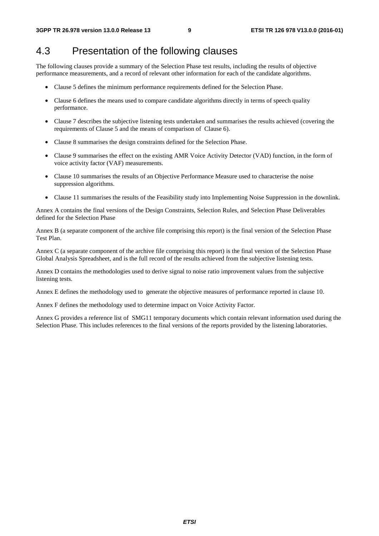### 4.3 Presentation of the following clauses

The following clauses provide a summary of the Selection Phase test results, including the results of objective performance measurements, and a record of relevant other information for each of the candidate algorithms.

- Clause 5 defines the minimum performance requirements defined for the Selection Phase.
- Clause 6 defines the means used to compare candidate algorithms directly in terms of speech quality performance.
- Clause 7 describes the subjective listening tests undertaken and summarises the results achieved (covering the requirements of Clause 5 and the means of comparison of Clause 6).
- Clause 8 summarises the design constraints defined for the Selection Phase.
- Clause 9 summarises the effect on the existing AMR Voice Activity Detector (VAD) function, in the form of voice activity factor (VAF) measurements.
- Clause 10 summarises the results of an Objective Performance Measure used to characterise the noise suppression algorithms.
- Clause 11 summarises the results of the Feasibility study into Implementing Noise Suppression in the downlink.

Annex A contains the final versions of the Design Constraints, Selection Rules, and Selection Phase Deliverables defined for the Selection Phase

Annex B (a separate component of the archive file comprising this report) is the final version of the Selection Phase Test Plan.

Annex C (a separate component of the archive file comprising this report) is the final version of the Selection Phase Global Analysis Spreadsheet, and is the full record of the results achieved from the subjective listening tests.

Annex D contains the methodologies used to derive signal to noise ratio improvement values from the subjective listening tests.

Annex E defines the methodology used to generate the objective measures of performance reported in clause 10.

Annex F defines the methodology used to determine impact on Voice Activity Factor.

Annex G provides a reference list of SMG11 temporary documents which contain relevant information used during the Selection Phase. This includes references to the final versions of the reports provided by the listening laboratories.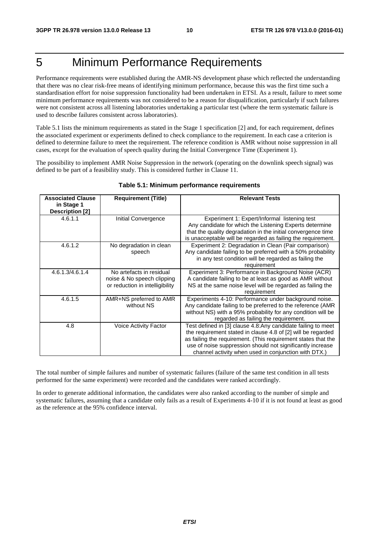## 5 Minimum Performance Requirements

Performance requirements were established during the AMR-NS development phase which reflected the understanding that there was no clear risk-free means of identifying minimum performance, because this was the first time such a standardisation effort for noise suppression functionality had been undertaken in ETSI. As a result, failure to meet some minimum performance requirements was not considered to be a reason for disqualification, particularly if such failures were not consistent across all listening laboratories undertaking a particular test (where the term systematic failure is used to describe failures consistent across laboratories).

Table 5.1 lists the minimum requirements as stated in the Stage 1 specification [2] and, for each requirement, defines the associated experiment or experiments defined to check compliance to the requirement. In each case a criterion is defined to determine failure to meet the requirement. The reference condition is AMR without noise suppression in all cases, except for the evaluation of speech quality during the Initial Convergence Time (Experiment 1).

The possibility to implement AMR Noise Suppression in the network (operating on the downlink speech signal) was defined to be part of a feasibility study. This is considered further in Clause 11.

| <b>Associated Clause</b><br>in Stage 1<br><b>Description [2]</b> | <b>Requirement (Title)</b>                                                                | <b>Relevant Tests</b>                                                                                                                                                                                                                                                                                               |
|------------------------------------------------------------------|-------------------------------------------------------------------------------------------|---------------------------------------------------------------------------------------------------------------------------------------------------------------------------------------------------------------------------------------------------------------------------------------------------------------------|
| 4.6.1.1                                                          | Initial Convergence                                                                       | Experiment 1: Expert/Informal listening test<br>Any candidate for which the Listening Experts determine<br>that the quality degradation in the initial convergence time<br>is unacceptable will be regarded as failing the requirement.                                                                             |
| 4.6.1.2                                                          | No degradation in clean<br>speech                                                         | Experiment 2: Degradation in Clean (Pair comparison)<br>Any candidate failing to be preferred with a 50% probability<br>in any test condition will be regarded as failing the<br>requirement                                                                                                                        |
| 4.6.1.3/4.6.1.4                                                  | No artefacts in residual<br>noise & No speech clipping<br>or reduction in intelligibility | Experiment 3: Performance in Background Noise (ACR)<br>A candidate failing to be at least as good as AMR without<br>NS at the same noise level will be regarded as failing the<br>requirement                                                                                                                       |
| 4.6.1.5                                                          | AMR+NS preferred to AMR<br>without NS                                                     | Experiments 4-10: Performance under background noise.<br>Any candidate failing to be preferred to the reference (AMR<br>without NS) with a 95% probability for any condition will be<br>regarded as failing the requirement.                                                                                        |
| 4.8                                                              | Voice Activity Factor                                                                     | Test defined in [3] clause 4.8:Any candidate failing to meet<br>the requirement stated in clause 4.8 of [2] will be regarded<br>as failing the requirement. (This requirement states that the<br>use of noise suppression should not significantly increase<br>channel activity when used in conjunction with DTX.) |

#### **Table 5.1: Minimum performance requirements**

The total number of simple failures and number of systematic failures (failure of the same test condition in all tests performed for the same experiment) were recorded and the candidates were ranked accordingly.

In order to generate additional information, the candidates were also ranked according to the number of simple and systematic failures, assuming that a candidate only fails as a result of Experiments 4-10 if it is not found at least as good as the reference at the 95% confidence interval.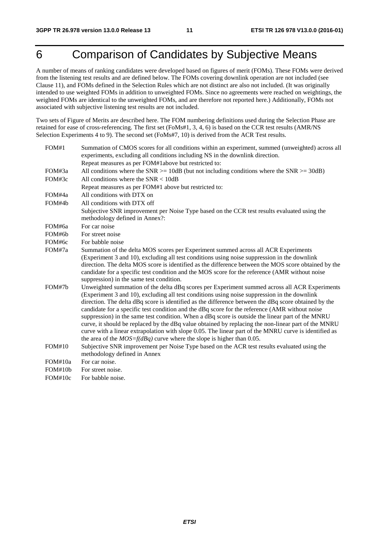## 6 Comparison of Candidates by Subjective Means

A number of means of ranking candidates were developed based on figures of merit (FOMs). These FOMs were derived from the listening test results and are defined below. The FOMs covering downlink operation are not included (see Clause 11), and FOMs defined in the Selection Rules which are not distinct are also not included. (It was originally intended to use weighted FOMs in addition to unweighted FOMs. Since no agreements were reached on weightings, the weighted FOMs are identical to the unweighted FOMs, and are therefore not reported here.) Additionally, FOMs not associated with subjective listening test results are not included.

Two sets of Figure of Merits are described here. The FOM numbering definitions used during the Selection Phase are retained for ease of cross-referencing. The first set (FoMs#1, 3, 4, 6) is based on the CCR test results (AMR/NS Selection Experiments 4 to 9). The second set (FoMs#7, 10) is derived from the ACR Test results.

| FOM#1   | Summation of CMOS scores for all conditions within an experiment, summed (unweighted) across all<br>experiments, excluding all conditions including NS in the downlink direction.                                                                                                                                                                                                                                                                                                                                                                                                                                                                                                                                                                                                                      |
|---------|--------------------------------------------------------------------------------------------------------------------------------------------------------------------------------------------------------------------------------------------------------------------------------------------------------------------------------------------------------------------------------------------------------------------------------------------------------------------------------------------------------------------------------------------------------------------------------------------------------------------------------------------------------------------------------------------------------------------------------------------------------------------------------------------------------|
|         | Repeat measures as per FOM#1above but restricted to:                                                                                                                                                                                                                                                                                                                                                                                                                                                                                                                                                                                                                                                                                                                                                   |
| FOM#3a  | All conditions where the SNR $> = 10$ dB (but not including conditions where the SNR $> = 30$ dB)                                                                                                                                                                                                                                                                                                                                                                                                                                                                                                                                                                                                                                                                                                      |
| FOM#3c  | All conditions where the $SNR < 10dB$                                                                                                                                                                                                                                                                                                                                                                                                                                                                                                                                                                                                                                                                                                                                                                  |
|         | Repeat measures as per FOM#1 above but restricted to:                                                                                                                                                                                                                                                                                                                                                                                                                                                                                                                                                                                                                                                                                                                                                  |
| FOM#4a  | All conditions with DTX on                                                                                                                                                                                                                                                                                                                                                                                                                                                                                                                                                                                                                                                                                                                                                                             |
| FOM#4b  | All conditions with DTX off                                                                                                                                                                                                                                                                                                                                                                                                                                                                                                                                                                                                                                                                                                                                                                            |
|         | Subjective SNR improvement per Noise Type based on the CCR test results evaluated using the<br>methodology defined in Annex?:                                                                                                                                                                                                                                                                                                                                                                                                                                                                                                                                                                                                                                                                          |
| FOM#6a  | For car noise                                                                                                                                                                                                                                                                                                                                                                                                                                                                                                                                                                                                                                                                                                                                                                                          |
| FOM#6b  | For street noise                                                                                                                                                                                                                                                                                                                                                                                                                                                                                                                                                                                                                                                                                                                                                                                       |
| FOM#6c  | For babble noise                                                                                                                                                                                                                                                                                                                                                                                                                                                                                                                                                                                                                                                                                                                                                                                       |
| FOM#7a  | Summation of the delta MOS scores per Experiment summed across all ACR Experiments<br>(Experiment 3 and 10), excluding all test conditions using noise suppression in the downlink<br>direction. The delta MOS score is identified as the difference between the MOS score obtained by the<br>candidate for a specific test condition and the MOS score for the reference (AMR without noise<br>suppression) in the same test condition.                                                                                                                                                                                                                                                                                                                                                               |
| FOM#7h  | Unweighted summation of the delta dBq scores per Experiment summed across all ACR Experiments<br>(Experiment 3 and 10), excluding all test conditions using noise suppression in the downlink<br>direction. The delta dBq score is identified as the difference between the dBq score obtained by the<br>candidate for a specific test condition and the dBq score for the reference (AMR without noise<br>suppression) in the same test condition. When a dBq score is outside the linear part of the MNRU<br>curve, it should be replaced by the dBq value obtained by replacing the non-linear part of the MNRU<br>curve with a linear extrapolation with slope 0.05. The linear part of the MNRU curve is identified as<br>the area of the $MOS=f(dBq)$ curve where the slope is higher than 0.05. |
| FOM#10  | Subjective SNR improvement per Noise Type based on the ACR test results evaluated using the<br>methodology defined in Annex                                                                                                                                                                                                                                                                                                                                                                                                                                                                                                                                                                                                                                                                            |
| FOM#10a | For car noise.                                                                                                                                                                                                                                                                                                                                                                                                                                                                                                                                                                                                                                                                                                                                                                                         |
| FOM#10b | For street noise.                                                                                                                                                                                                                                                                                                                                                                                                                                                                                                                                                                                                                                                                                                                                                                                      |
| FOM#10c | For babble noise.                                                                                                                                                                                                                                                                                                                                                                                                                                                                                                                                                                                                                                                                                                                                                                                      |
|         |                                                                                                                                                                                                                                                                                                                                                                                                                                                                                                                                                                                                                                                                                                                                                                                                        |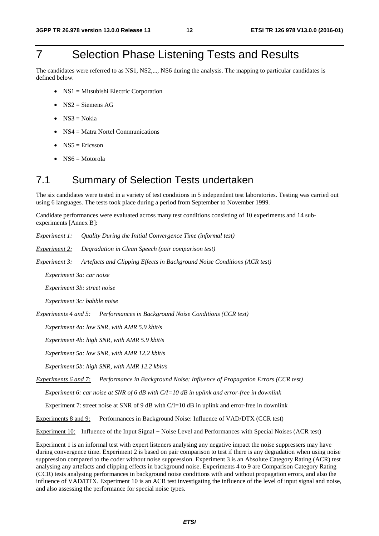## 7 Selection Phase Listening Tests and Results

The candidates were referred to as NS1, NS2,..., NS6 during the analysis. The mapping to particular candidates is defined below.

- NS1 = Mitsubishi Electric Corporation
- $NS2$  = Siemens AG
- $NS3 = Nokia$
- $NS4 = Matra$  Nortel Communications
- $NS5 =$  Ericsson
- $NS6 = Motorola$

#### 7.1 Summary of Selection Tests undertaken

The six candidates were tested in a variety of test conditions in 5 independent test laboratories. Testing was carried out using 6 languages. The tests took place during a period from September to November 1999.

Candidate performances were evaluated across many test conditions consisting of 10 experiments and 14 subexperiments [Annex B]:

*Experiment 1: Quality During the Initial Convergence Time (informal test)* 

*Experiment 2: Degradation in Clean Speech (pair comparison test)* 

*Experiment 3: Artefacts and Clipping Effects in Background Noise Conditions (ACR test)* 

 *Experiment 3a: car noise* 

 *Experiment 3b: street noise* 

 *Experiment 3c: babble noise* 

*Experiments 4 and 5: Performances in Background Noise Conditions (CCR test)* 

 *Experiment 4a: low SNR, with AMR 5.9 kbit/s* 

 *Experiment 4b: high SNR, with AMR 5.9 kbit/s* 

 *Experiment 5a: low SNR, with AMR 12.2 kbit/s* 

 *Experiment 5b: high SNR, with AMR 12.2 kbit/s* 

*Experiments 6 and 7: Performance in Background Noise: Influence of Propagation Errors (CCR test)* 

 *Experiment 6: car noise at SNR of 6 dB with C/I=10 dB in uplink and error-free in downlink* 

Experiment 7: street noise at SNR of 9 dB with C/I=10 dB in uplink and error-free in downlink

Experiments 8 and 9: Performances in Background Noise: Influence of VAD/DTX (CCR test)

Experiment 10: Influence of the Input Signal + Noise Level and Performances with Special Noises (ACR test)

Experiment 1 is an informal test with expert listeners analysing any negative impact the noise suppressers may have during convergence time. Experiment 2 is based on pair comparison to test if there is any degradation when using noise suppression compared to the coder without noise suppression. Experiment 3 is an Absolute Category Rating (ACR) test analysing any artefacts and clipping effects in background noise. Experiments 4 to 9 are Comparison Category Rating (CCR) tests analysing performances in background noise conditions with and without propagation errors, and also the influence of VAD/DTX. Experiment 10 is an ACR test investigating the influence of the level of input signal and noise, and also assessing the performance for special noise types.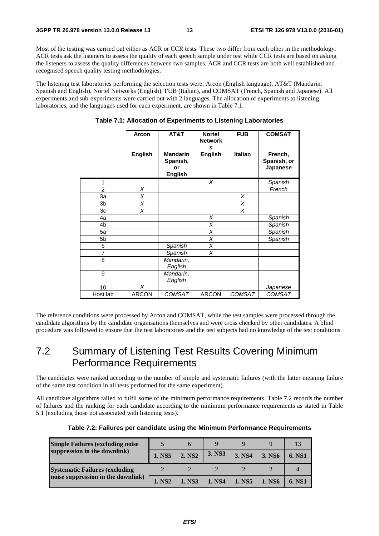Most of the testing was carried out either as ACR or CCR tests. These two differ from each other in the methodology. ACR tests ask the listeners to assess the quality of each speech sample under test while CCR tests are based on asking the listeners to assess the quality differences between two samples. ACR and CCR tests are both well established and recognised speech quality testing methodologies.

The listening test laboratories performing the selection tests were: Arcon (English language), AT&T (Mandarin, Spanish and English), Nortel Networks (English), FUB (Italian), and COMSAT (French, Spanish and Japanese). All experiments and sub-experiments were carried out with 2 languages. The allocation of experiments to listening laboratories, and the languages used for each experiment, are shown in Table 7.1.

|                | Arcon          | AT&T                                                | <b>Nortel</b><br><b>Network</b><br>s | <b>FUB</b>        | <b>COMSAT</b>                      |
|----------------|----------------|-----------------------------------------------------|--------------------------------------|-------------------|------------------------------------|
|                | <b>English</b> | <b>Mandarin</b><br>Spanish,<br>or<br><b>English</b> | <b>English</b>                       | <b>Italian</b>    | French,<br>Spanish, or<br>Japanese |
| 1              |                |                                                     | X                                    |                   | Spanish                            |
| $\overline{2}$ | X              |                                                     |                                      |                   | French                             |
| 3a             | X              |                                                     |                                      | X                 |                                    |
| 3 <sub>b</sub> | X              |                                                     |                                      | $\overline{\chi}$ |                                    |
| 3c             | X              |                                                     |                                      | X                 |                                    |
| 4a             |                |                                                     | X                                    |                   | Spanish                            |
| 4 <sub>b</sub> |                |                                                     | $\overline{\chi}$                    |                   | Spanish                            |
| 5a             |                |                                                     | X                                    |                   | Spanish                            |
| 5b             |                |                                                     | X                                    |                   | Spanish                            |
| 6              |                | Spanish                                             | X                                    |                   |                                    |
| $\overline{7}$ |                | Spanish                                             | X                                    |                   |                                    |
| 8              |                | Mandarin,<br>English                                |                                      |                   |                                    |
| 9              |                | Mandarin,<br>English                                |                                      |                   |                                    |
| 10             | X              |                                                     |                                      |                   | Japanese                           |
| Host lab       | <b>ARCON</b>   | <b>COMSAT</b>                                       | <b>ARCON</b>                         | <b>COMSAT</b>     | <b>COMSAT</b>                      |

#### **Table 7.1: Allocation of Experiments to Listening Laboratories**

The reference conditions were processed by Arcon and COMSAT, while the test samples were processed through the candidate algorithms by the candidate organisations themselves and were cross checked by other candidates. A blind procedure was followed to ensure that the test laboratories and the test subjects had no knowledge of the test conditions.

## 7.2 Summary of Listening Test Results Covering Minimum Performance Requirements

The candidates were ranked according to the number of simple and systematic failures (with the latter meaning failure of the same test condition in all tests performed for the same experiment).

All candidate algorithms failed to fulfil some of the minimum performance requirements. Table 7.2 records the number of failures and the ranking for each candidate according to the minimum performance requirements as stated in Table 5.1 (excluding those not associated with listening tests).

| <b>Simple Failures (excluding noise)</b> |                    |                    |        |        |                    |        |
|------------------------------------------|--------------------|--------------------|--------|--------|--------------------|--------|
| suppression in the downlink)             | 1. NS5             | 2. NS <sub>2</sub> | 3. NS3 | 3. NS4 | 3. NS <sub>6</sub> | 6. NS1 |
| <b>Systematic Failures (excluding</b>    |                    |                    |        |        |                    |        |
| noise suppression in the downlink)       | 1. NS <sub>2</sub> | 1. NS3             | 1. NS4 | 1. NS5 | 1. NS6             | 6. NS1 |

|  | Table 7.2: Failures per candidate using the Minimum Performance Requirements |  |  |  |
|--|------------------------------------------------------------------------------|--|--|--|
|--|------------------------------------------------------------------------------|--|--|--|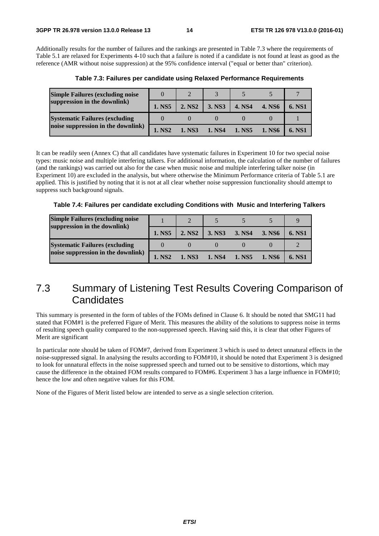Additionally results for the number of failures and the rankings are presented in Table 7.3 where the requirements of Table 5.1 are relaxed for Experiments 4-10 such that a failure is noted if a candidate is not found at least as good as the reference (AMR without noise suppression) at the 95% confidence interval ("equal or better than" criterion).

| <b>Simple Failures (excluding noise</b> |                    |                    |        |        |        |               |
|-----------------------------------------|--------------------|--------------------|--------|--------|--------|---------------|
| suppression in the downlink)            | 1. NS5             | 2. NS <sub>2</sub> | 3. NS3 | 4. NS4 | 4. NS6 | <b>6. NS1</b> |
| <b>Systematic Failures (excluding)</b>  |                    |                    |        |        |        |               |
| noise suppression in the downlink)      | 1. NS <sub>2</sub> | 1. NS3             | 1. NS4 | 1. NS5 | 1. NS6 | <b>6. NS1</b> |

**Table 7.3: Failures per candidate using Relaxed Performance Requirements** 

It can be readily seen (Annex C) that all candidates have systematic failures in Experiment 10 for two special noise types: music noise and multiple interfering talkers. For additional information, the calculation of the number of failures (and the rankings) was carried out also for the case when music noise and multiple interfering talker noise (in Experiment 10) are excluded in the analysis, but where otherwise the Minimum Performance criteria of Table 5.1 are applied. This is justified by noting that it is not at all clear whether noise suppression functionality should attempt to suppress such background signals.

**Table 7.4: Failures per candidate excluding Conditions with Music and Interfering Talkers** 

| <b>Simple Failures (excluding noise)</b><br>suppression in the downlink) |                    |                    |               |        |               |               |
|--------------------------------------------------------------------------|--------------------|--------------------|---------------|--------|---------------|---------------|
|                                                                          | 1. NS5             | 2. NS <sub>2</sub> | 3. NS3        | 3. NS4 | 3. NS6        | <b>6. NS1</b> |
| <b>Systematic Failures (excluding</b>                                    |                    |                    |               |        |               |               |
| noise suppression in the downlink)                                       | 1. NS <sub>2</sub> | 1. NS3             | <b>1. NS4</b> | 1. NS5 | <b>1. NS6</b> | 6. NST        |

### 7.3 Summary of Listening Test Results Covering Comparison of **Candidates**

This summary is presented in the form of tables of the FOMs defined in Clause 6. It should be noted that SMG11 had stated that FOM#1 is the preferred Figure of Merit. This measures the ability of the solutions to suppress noise in terms of resulting speech quality compared to the non-suppressed speech. Having said this, it is clear that other Figures of Merit are significant

In particular note should be taken of FOM#7, derived from Experiment 3 which is used to detect unnatural effects in the noise-suppressed signal. In analysing the results according to FOM#10, it should be noted that Experiment 3 is designed to look for unnatural effects in the noise suppressed speech and turned out to be sensitive to distortions, which may cause the difference in the obtained FOM results compared to FOM#6. Experiment 3 has a large influence in FOM#10; hence the low and often negative values for this FOM.

None of the Figures of Merit listed below are intended to serve as a single selection criterion.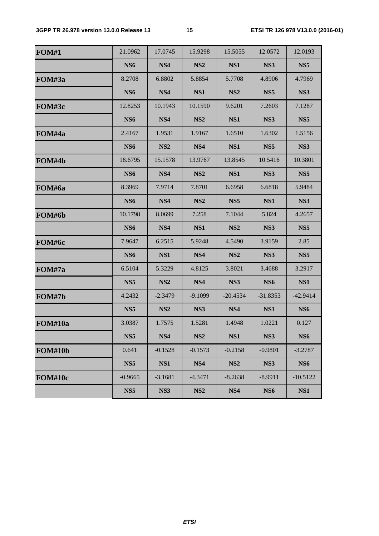| <b>FOM#1</b> | 21.0962         | 17.0745         | 15.9298         | 15.5055         | 12.0572         | 12.0193         |
|--------------|-----------------|-----------------|-----------------|-----------------|-----------------|-----------------|
|              | <b>NS6</b>      | NS4             | NS <sub>2</sub> | NS1             | NS3             | NS <sub>5</sub> |
| FOM#3a       | 8.2708          | 6.8802          | 5.8854          | 5.7708          | 4.8906          | 4.7969          |
|              | NS <sub>6</sub> | NS4             | NS1             | NS <sub>2</sub> | NS <sub>5</sub> | NS3             |
| FOM#3c       | 12.8253         | 10.1943         | 10.1590         | 9.6201          | 7.2603          | 7.1287          |
|              | <b>NS6</b>      | NS4             | NS <sub>2</sub> | NS1             | NS3             | NS <sub>5</sub> |
| FOM#4a       | 2.4167          | 1.9531          | 1.9167          | 1.6510          | 1.6302          | 1.5156          |
|              | <b>NS6</b>      | NS <sub>2</sub> | NS4             | NS1             | NS <sub>5</sub> | NS3             |
| FOM#4b       | 18.6795         | 15.1578         | 13.9767         | 13.8545         | 10.5416         | 10.3801         |
|              | <b>NS6</b>      | NS4             | NS <sub>2</sub> | NS1             | NS3             | NS <sub>5</sub> |
| FOM#6a       | 8.3969          | 7.9714          | 7.8701          | 6.6958          | 6.6818          | 5.9484          |
|              | <b>NS6</b>      | NS4             | NS <sub>2</sub> | NS <sub>5</sub> | NS1             | NS3             |
| FOM#6b       | 10.1798         | 8.0699          | 7.258           | 7.1044          | 5.824           | 4.2657          |
|              | <b>NS6</b>      | NS4             | NS1             | NS <sub>2</sub> | NS3             | NS <sub>5</sub> |
| FOM#6c       | 7.9647          | 6.2515          | 5.9248          | 4.5490          | 3.9159          | 2.85            |
|              | <b>NS6</b>      | NS1             | NS4             | NS <sub>2</sub> | NS3             | NS <sub>5</sub> |
| FOM#7a       | 6.5104          | 5.3229          | 4.8125          | 3.8021          | 3.4688          | 3.2917          |
|              | NS <sub>5</sub> | NS <sub>2</sub> | NS4             | NS3             | <b>NS6</b>      | NS1             |
| FOM#7b       | 4.2432          | $-2.3479$       | $-9.1099$       | $-20.4534$      | $-31.8353$      | $-42.9414$      |
|              | NS <sub>5</sub> | NS <sub>2</sub> | NS3             | NS4             | NS1             | NS <sub>6</sub> |
| FOM#10a      | 3.0387          | 1.7575          | 1.5281          | 1.4948          | 1.0221          | 0.127           |
|              | NS <sub>5</sub> | NS4             | NS <sub>2</sub> | NS1             | NS3             | <b>NS6</b>      |
| FOM#10b      | 0.641           | $-0.1528$       | $-0.1573$       | $-0.2158$       | $-0.9801$       | $-3.2787$       |
|              | NS <sub>5</sub> | NS1             | NS4             | NS <sub>2</sub> | NS3             | <b>NS6</b>      |
| FOM#10c      | $-0.9665$       | $-3.1681$       | $-4.3471$       | $-8.2638$       | $-8.9911$       | $-10.5122$      |
|              | NS <sub>5</sub> | NS3             | NS <sub>2</sub> | NS4             | <b>NS6</b>      | NS1             |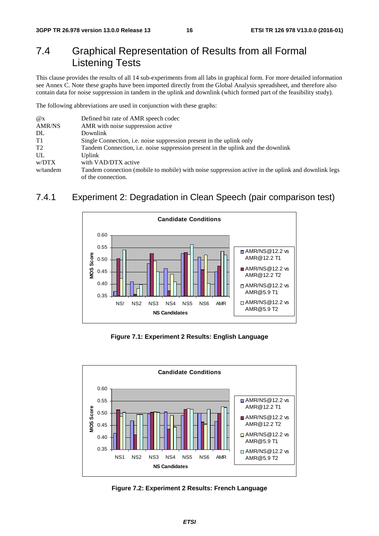## 7.4 Graphical Representation of Results from all Formal Listening Tests

This clause provides the results of all 14 sub-experiments from all labs in graphical form. For more detailed information see Annex C. Note these graphs have been imported directly from the Global Analysis spreadsheet, and therefore also contain data for noise suppression in tandem in the uplink and downlink (which formed part of the feasibility study).

The following abbreviations are used in conjunction with these graphs:

| $\omega_{\rm X}$ | Defined bit rate of AMR speech codec                                                               |
|------------------|----------------------------------------------------------------------------------------------------|
| <b>AMR/NS</b>    | AMR with noise suppression active                                                                  |
| DL               | Downlink                                                                                           |
| T1               | Single Connection, <i>i.e.</i> noise suppression present in the uplink only                        |
| T <sub>2</sub>   | Tandem Connection, <i>i.e.</i> noise suppression present in the uplink and the downlink            |
| UL               | <b>Uplink</b>                                                                                      |
| w/DTX            | with VAD/DTX active                                                                                |
| w/tandem         | Tandem connection (mobile to mobile) with noise suppression active in the uplink and downlink legs |
|                  | of the connection.                                                                                 |

#### 7.4.1 Experiment 2: Degradation in Clean Speech (pair comparison test)



**Figure 7.1: Experiment 2 Results: English Language** 



**Figure 7.2: Experiment 2 Results: French Language**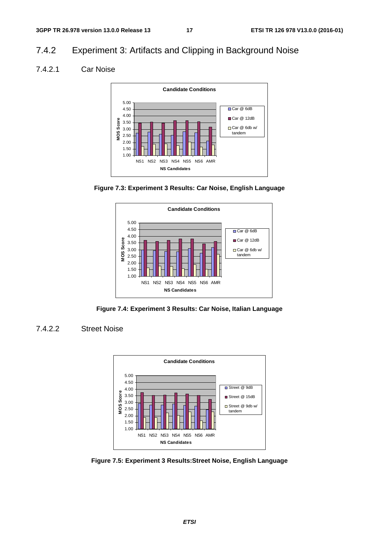#### 7.4.2 Experiment 3: Artifacts and Clipping in Background Noise

#### 7.4.2.1 Car Noise







**Figure 7.4: Experiment 3 Results: Car Noise, Italian Language** 

#### 7.4.2.2 Street Noise



**Figure 7.5: Experiment 3 Results:Street Noise, English Language**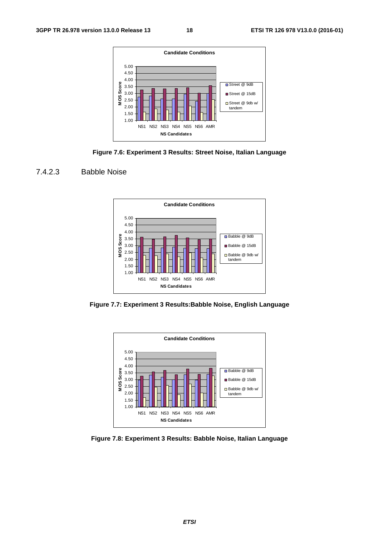







**Figure 7.7: Experiment 3 Results:Babble Noise, English Language** 



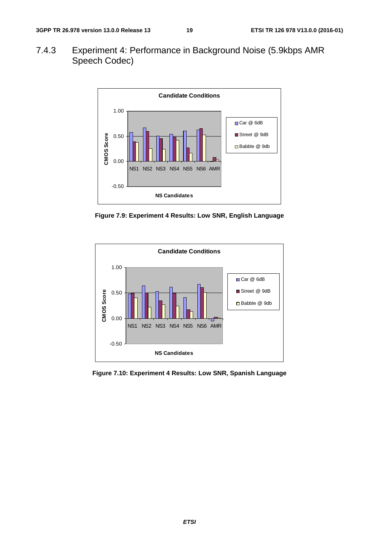7.4.3 Experiment 4: Performance in Background Noise (5.9kbps AMR Speech Codec)



**Figure 7.9: Experiment 4 Results: Low SNR, English Language** 



**Figure 7.10: Experiment 4 Results: Low SNR, Spanish Language**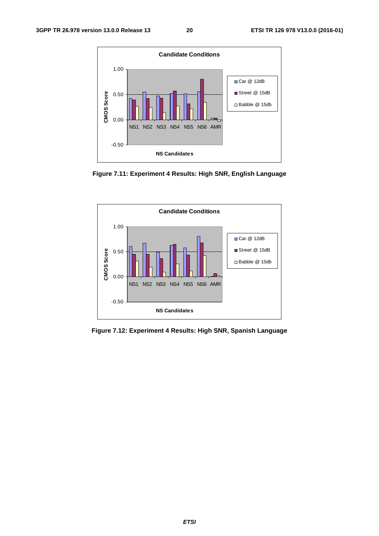

**Figure 7.11: Experiment 4 Results: High SNR, English Language** 



**Figure 7.12: Experiment 4 Results: High SNR, Spanish Language**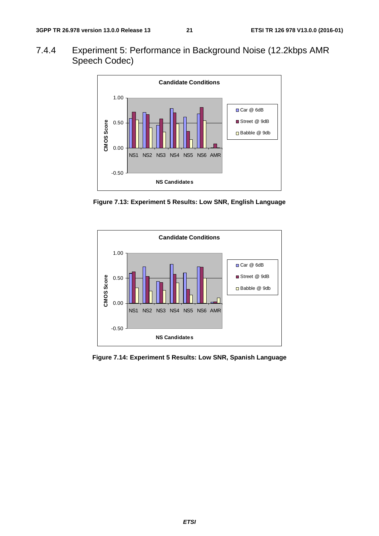7.4.4 Experiment 5: Performance in Background Noise (12.2kbps AMR Speech Codec)



**Figure 7.13: Experiment 5 Results: Low SNR, English Language** 



**Figure 7.14: Experiment 5 Results: Low SNR, Spanish Language**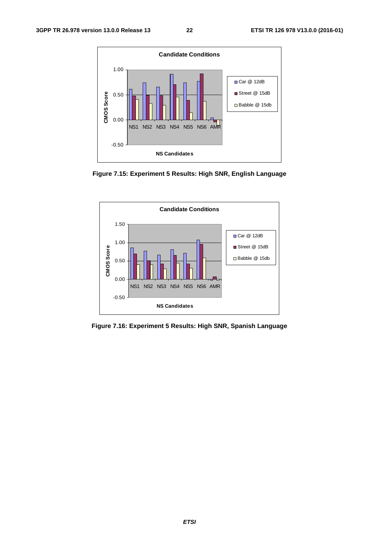

**Figure 7.15: Experiment 5 Results: High SNR, English Language** 



**Figure 7.16: Experiment 5 Results: High SNR, Spanish Language**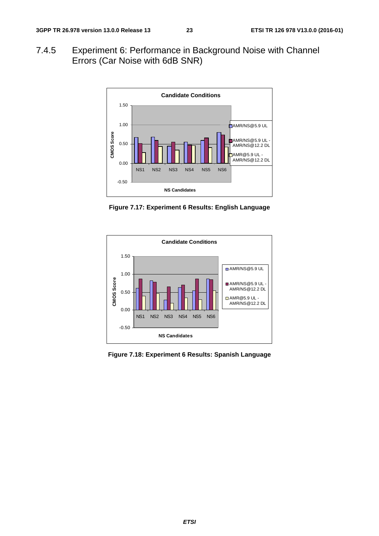7.4.5 Experiment 6: Performance in Background Noise with Channel Errors (Car Noise with 6dB SNR)



**Figure 7.17: Experiment 6 Results: English Language** 



**Figure 7.18: Experiment 6 Results: Spanish Language**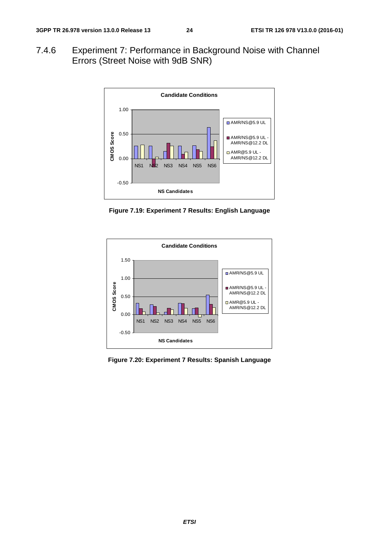7.4.6 Experiment 7: Performance in Background Noise with Channel Errors (Street Noise with 9dB SNR)



**Figure 7.19: Experiment 7 Results: English Language** 



**Figure 7.20: Experiment 7 Results: Spanish Language**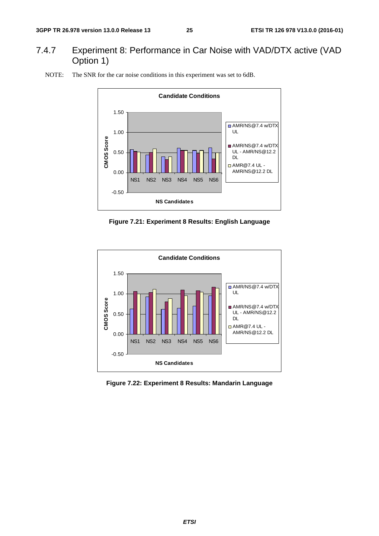#### 7.4.7 Experiment 8: Performance in Car Noise with VAD/DTX active (VAD Option 1)



NOTE: The SNR for the car noise conditions in this experiment was set to 6dB.





**Figure 7.22: Experiment 8 Results: Mandarin Language**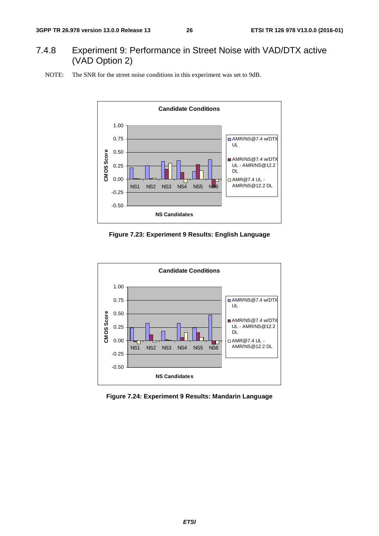#### 7.4.8 Experiment 9: Performance in Street Noise with VAD/DTX active (VAD Option 2)





**Figure 7.23: Experiment 9 Results: English Language** 



**Figure 7.24: Experiment 9 Results: Mandarin Language**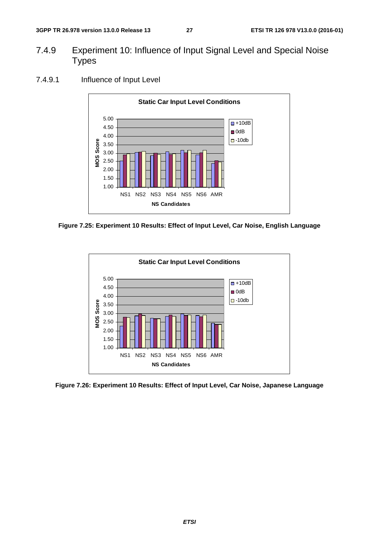- 7.4.9 Experiment 10: Influence of Input Signal Level and Special Noise **Types** 
	- **Static Car Input Level Conditions** 5.00  $\Box$  +10dB 4.50  $\blacksquare$  0dB 4.00  $-10$ db VIOS Score **MOS Score** 3.50 3.00 2.50 2.00 1.50 1.00 NS1 NS2 NS3 NS4 NS5 NS6 AMR **NS Candidates**
- 7.4.9.1 Influence of Input Level

**Figure 7.25: Experiment 10 Results: Effect of Input Level, Car Noise, English Language** 



**Figure 7.26: Experiment 10 Results: Effect of Input Level, Car Noise, Japanese Language**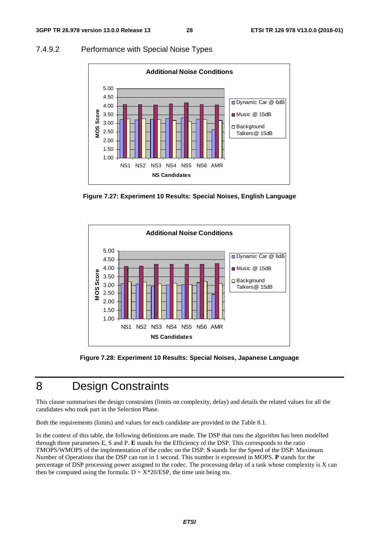#### 7.4.9.2 Performance with Special Noise Types



**Figure 7.27: Experiment 10 Results: Special Noises, English Language** 



**Figure 7.28: Experiment 10 Results: Special Noises, Japanese Language** 

## 8 Design Constraints

This clause summarises the design constraints (limits on complexity, delay) and details the related values for all the candidates who took part in the Selection Phase.

Both the requirements (limits) and values for each candidate are provided in the Table 8.1.

In the context of this table, the following definitions are made. The DSP that runs the algorithm has been modelled through three parameters E, S and P. **E** stands for the Efficiency of the DSP. This corresponds to the ratio TMOPS/WMOPS of the implementation of the codec on the DSP. **S** stands for the Speed of the DSP: Maximum Number of Operations that the DSP can run in 1 second. This number is expressed in MOPS. **P** stands for the percentage of DSP processing power assigned to the codec. The processing delay of a task whose complexity is X can then be computed using the formula:  $D = X^*20/ESP$ , the time unit being ms.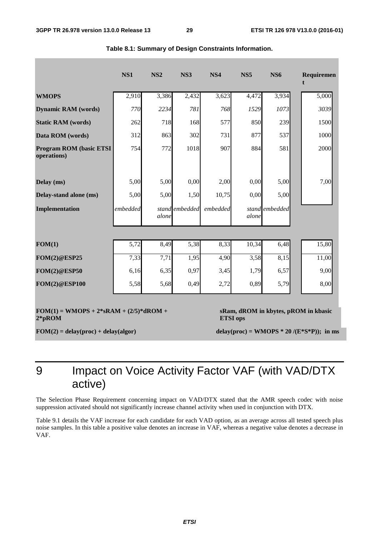|                                                        | NS1      | NS <sub>2</sub> | NS3            | NS4      | NS <sub>5</sub> | <b>NS6</b>     | Requiremen                                    |
|--------------------------------------------------------|----------|-----------------|----------------|----------|-----------------|----------------|-----------------------------------------------|
| <b>WMOPS</b>                                           | 2,910    | 3,386           | 2,432          | 3,623    | 4,472           | 3,934          | 5,000                                         |
| <b>Dynamic RAM</b> (words)                             | 770      | 2234            | 781            | 768      | 1529            | 1073           | 3039                                          |
| <b>Static RAM</b> (words)                              | 262      | 718             | 168            | 577      | 850             | 239            | 1500                                          |
| Data ROM (words)                                       | 312      | 863             | 302            | 731      | 877             | 537            | 1000                                          |
| <b>Program ROM (basic ETSI)</b><br>operations)         | 754      | 772             | 1018           | 907      | 884             | 581            | 2000                                          |
| Delay (ms)                                             | 5,00     | 5,00            | 0,00           | 2,00     | 0,00            | 5,00           | 7,00                                          |
| Delay-stand alone (ms)                                 | 5,00     | 5,00            | 1,50           | 10,75    | 0,00            | 5,00           |                                               |
| Implementation                                         | embedded | alone           | stand embedded | embedded | alone           | stand embedded |                                               |
|                                                        |          |                 |                |          |                 |                |                                               |
| FOM(1)                                                 | 5,72     | 8,49            | 5,38           | 8,33     | 10,34           | 6,48           | 15,80                                         |
| <b>FOM(2)@ESP25</b>                                    | 7,33     | 7,71            | 1,95           | 4,90     | 3,58            | 8,15           | 11,00                                         |
| <b>FOM(2)@ESP50</b>                                    | 6,16     | 6,35            | 0,97           | 3,45     | 1,79            | 6,57           | 9,00                                          |
| <b>FOM(2)@ESP100</b>                                   | 5,58     | 5,68            | 0,49           | 2,72     | 0,89            | 5,79           | 8,00                                          |
| $FOM(1) = WMOPS + 2*SRAM + (2/5)*dROM +$<br>$2 * pROM$ |          |                 |                |          | <b>ETSI</b> ops |                | sRam, dROM in kbytes, pROM in kbasic          |
| $FOM(2) = delay(proc) + delay(algor)$                  |          |                 |                |          |                 |                | delay(proc) = WMOPS * 20 /( $E$ *S*P)); in ms |

9 Impact on Voice Activity Factor VAF (with VAD/DTX active)

The Selection Phase Requirement concerning impact on VAD/DTX stated that the AMR speech codec with noise suppression activated should not significantly increase channel activity when used in conjunction with DTX.

Table 9.1 details the VAF increase for each candidate for each VAD option, as an average across all tested speech plus noise samples. In this table a positive value denotes an increase in VAF, whereas a negative value denotes a decrease in VAF.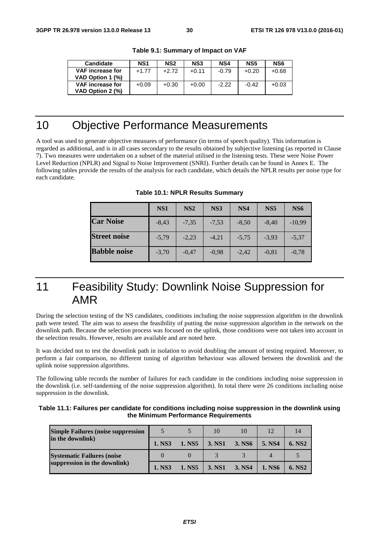| <b>Candidate</b>                            | NS <sub>1</sub> | NS <sub>2</sub> | NS <sub>3</sub> | NS4     | NS5     | NS <sub>6</sub> |
|---------------------------------------------|-----------------|-----------------|-----------------|---------|---------|-----------------|
| <b>VAF</b> increase for<br>VAD Option 1 (%) | $+1.77$         | $+2.72$         | $+0.11$         | $-0.79$ | $+0.20$ | $+0.68$         |
| <b>VAF</b> increase for<br>VAD Option 2 (%) | $+0.09$         | $+0.30$         | $+0.00$         | $-2.22$ | $-0.42$ | $+0.03$         |

**Table 9.1: Summary of Impact on VAF** 

## 10 Objective Performance Measurements

A tool was used to generate objective measures of performance (in terms of speech quality). This information is regarded as additional, and is in all cases secondary to the results obtained by subjective listening (as reported in Clause 7). Two measures were undertaken on a subset of the material utilised in the listening tests. These were Noise Power Level Reduction (NPLR) and Signal to Noise Improvement (SNRI). Further details can be found in Annex E. The following tables provide the results of the analysis for each candidate, which details the NPLR results per noise type for each candidate.

|                     | NS1     | NS <sub>2</sub> | NS3     | NS4     | NS <sub>5</sub> | NS6      |
|---------------------|---------|-----------------|---------|---------|-----------------|----------|
| <b>Car Noise</b>    | $-8.43$ | $-7.35$         | $-7,53$ | $-8,50$ | $-8.40$         | $-10,99$ |
| <b>Street noise</b> | $-5.79$ | $-2,23$         | $-4.21$ | $-5.75$ | $-3.93$         | $-5.37$  |
| <b>Babble noise</b> | $-3.70$ | $-0.47$         | $-0.98$ | $-2.42$ | $-0,81$         | $-0.78$  |

**Table 10.1: NPLR Results Summary** 

## 11 Feasibility Study: Downlink Noise Suppression for AMR

During the selection testing of the NS candidates, conditions including the noise suppression algorithm in the downlink path were tested. The aim was to assess the feasibility of putting the noise suppression algorithm in the network on the downlink path. Because the selection process was focused on the uplink, those conditions were not taken into account in the selection results. However, results are available and are noted here.

It was decided not to test the downlink path in isolation to avoid doubling the amount of testing required. Moreover, to perform a fair comparison, no different tuning of algorithm behaviour was allowed between the downlink and the uplink noise suppression algorithms.

The following table records the number of failures for each candidate in the conditions including noise suppression in the downlink (i.e. self-tandeming of the noise suppression algorithm). In total there were 26 conditions including noise suppression in the downlink.

| Table 11.1: Failures per candidate for conditions including noise suppression in the downlink using |
|-----------------------------------------------------------------------------------------------------|
| the Minimum Performance Requirements                                                                |

| <b>Simple Failures (noise suppression</b> |        |        | 10     | 10     | 12     |                    |
|-------------------------------------------|--------|--------|--------|--------|--------|--------------------|
| in the downlink)                          | 1. NS3 | 1. NS5 | 3. NS1 | 3. NS6 | 5. NS4 | 6. NS <sub>2</sub> |
| <b>Systematic Failures (noise</b>         |        |        |        |        |        |                    |
| suppression in the downlink)              | 1. NS3 | 1. NS5 | 3. NS1 | 3. NS4 | 1. NS6 | 6. NS <sub>2</sub> |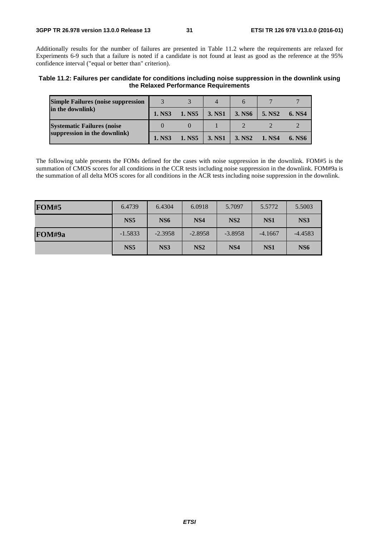Additionally results for the number of failures are presented in Table 11.2 where the requirements are relaxed for Experiments 6-9 such that a failure is noted if a candidate is not found at least as good as the reference at the 95% confidence interval ("equal or better than" criterion).

**Table 11.2: Failures per candidate for conditions including noise suppression in the downlink using the Relaxed Performance Requirements** 

| <b>Simple Failures (noise suppression)</b> |        |        |        |                    |                    |        |
|--------------------------------------------|--------|--------|--------|--------------------|--------------------|--------|
| in the downlink)                           | 1. NS3 | 1. NS5 | 3. NS1 | 3. NS6             | 5. NS <sub>2</sub> | 6. NS4 |
| <b>Systematic Failures (noise</b>          |        |        |        |                    |                    |        |
| suppression in the downlink)               | 1. NS3 | 1. NS5 | 3. NS1 | 3. NS <sub>2</sub> | 1. NS4             | 6. NS6 |

The following table presents the FOMs defined for the cases with noise suppression in the downlink. FOM#5 is the summation of CMOS scores for all conditions in the CCR tests including noise suppression in the downlink. FOM#9a is the summation of all delta MOS scores for all conditions in the ACR tests including noise suppression in the downlink.

| <b>FOM#5</b> | 6.4739          | 6.4304          | 6.0918          | 5.7097          | 5.5772          | 5.5003          |
|--------------|-----------------|-----------------|-----------------|-----------------|-----------------|-----------------|
|              | NS <sub>5</sub> | NS <sub>6</sub> | NS <sub>4</sub> | NS <sub>2</sub> | NS <sub>1</sub> | NS3             |
| FOM#9a       | $-1.5833$       | $-2.3958$       | $-2.8958$       | $-3.8958$       | $-4.1667$       | $-4.4583$       |
|              | NS <sub>5</sub> | NS3             | NS <sub>2</sub> | NS <sub>4</sub> | NS <sub>1</sub> | NS <sub>6</sub> |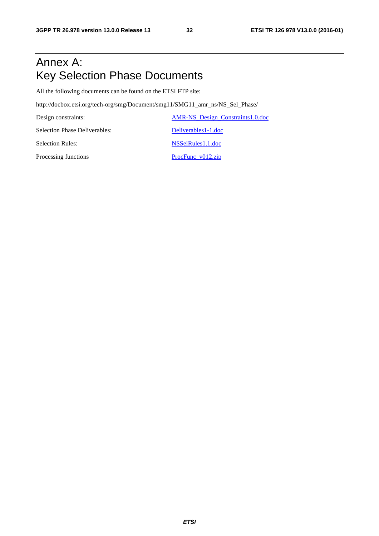## Annex A: Key Selection Phase Documents

All the following documents can be found on the ETSI FTP site:

http://docbox.etsi.org/tech-org/smg/Document/smg11/SMG11\_amr\_ns/NS\_Sel\_Phase/

Design constraints: AMR-NS\_Design\_Constraints1.0.doc Selection Phase Deliverables: Deliverables Deliverables1-1.doc Selection Rules: NSSelRules1.1.doc Processing functions ProcFunc\_v012.zip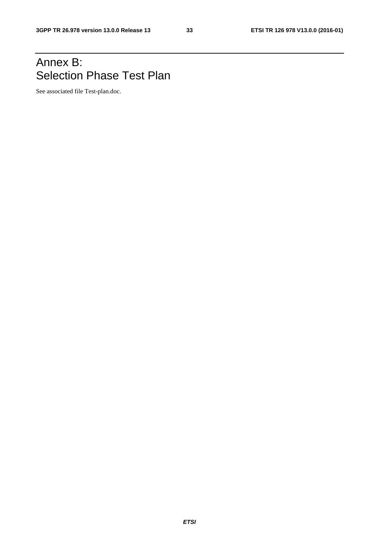## Annex B: Selection Phase Test Plan

See associated file Test-plan.doc.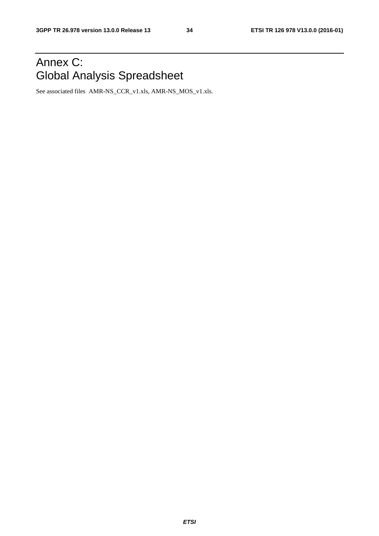## Annex C: Global Analysis Spreadsheet

See associated files AMR-NS\_CCR\_v1.xls, AMR-NS\_MOS\_v1.xls.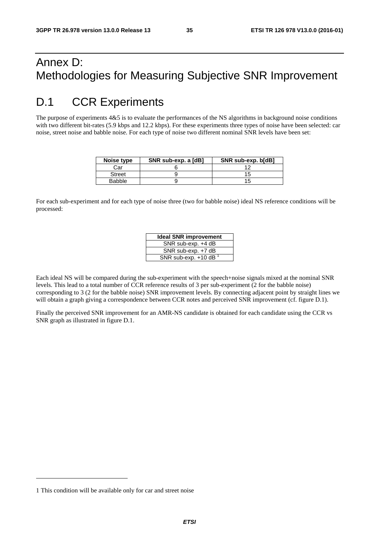## Annex D: Methodologies for Measuring Subjective SNR Improvement

## D.1 CCR Experiments

The purpose of experiments  $4&5$  is to evaluate the performances of the NS algorithms in background noise conditions with two different bit-rates (5.9 kbps and 12.2 kbps). For these experiments three types of noise have been selected: car noise, street noise and babble noise. For each type of noise two different nominal SNR levels have been set:

| Noise type    | SNR sub-exp. a [dB] | SNR sub-exp. b[dB] |
|---------------|---------------------|--------------------|
| Car           |                     |                    |
| <b>Street</b> |                     |                    |
| <b>Babble</b> |                     |                    |

For each sub-experiment and for each type of noise three (two for babble noise) ideal NS reference conditions will be processed:

| <b>Ideal SNR improvement</b>       |
|------------------------------------|
| SNR sub-exp. +4 dB                 |
| SNR sub-exp. +7 dB                 |
| SNR sub-exp. $+10$ dB <sup>1</sup> |

Each ideal NS will be compared during the sub-experiment with the speech+noise signals mixed at the nominal SNR levels. This lead to a total number of CCR reference results of 3 per sub-experiment (2 for the babble noise) corresponding to 3 (2 for the babble noise) SNR improvement levels. By connecting adjacent point by straight lines we will obtain a graph giving a correspondence between CCR notes and perceived SNR improvement (cf. figure D.1).

Finally the perceived SNR improvement for an AMR-NS candidate is obtained for each candidate using the CCR vs SNR graph as illustrated in figure D.1.

1

<sup>1</sup> This condition will be available only for car and street noise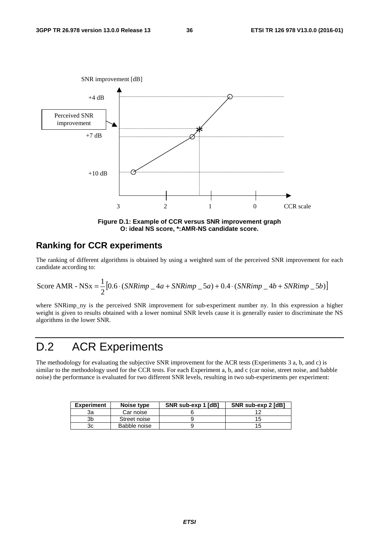

**Figure D.1: Example of CCR versus SNR improvement graph O: ideal NS score, \*:AMR-NS candidate score.** 

#### **Ranking for CCR experiments**

The ranking of different algorithms is obtained by using a weighted sum of the perceived SNR improvement for each candidate according to:

Score AMR - NSx = 
$$
\frac{1}{2} [0.6 \cdot (SNRimp - 4a + SNRimp - 5a) + 0.4 \cdot (SNRimp - 4b + SNRimp - 5b)]
$$

where SNRimp\_ny is the perceived SNR improvement for sub-experiment number ny. In this expression a higher weight is given to results obtained with a lower nominal SNR levels cause it is generally easier to discriminate the NS algorithms in the lower SNR.

## D.2 ACR Experiments

The methodology for evaluating the subjective SNR improvement for the ACR tests (Experiments 3 a, b, and c) is similar to the methodology used for the CCR tests. For each Experiment a, b, and c (car noise, street noise, and babble noise) the performance is evaluated for two different SNR levels, resulting in two sub-experiments per experiment:

| <b>Experiment</b> | Noise type   | SNR sub-exp 1 [dB] | SNR sub-exp 2 [dB] |
|-------------------|--------------|--------------------|--------------------|
| За                | Car noise    |                    |                    |
| 3b                | Street noise |                    |                    |
| 3c                | Babble noise |                    |                    |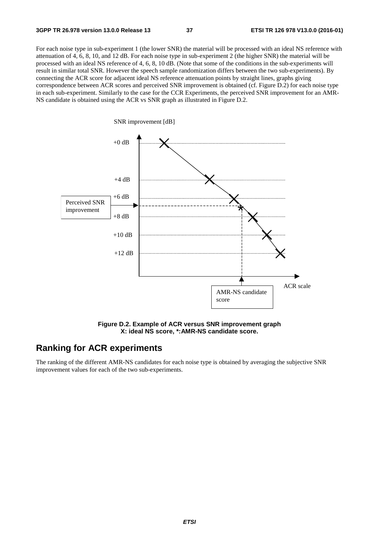For each noise type in sub-experiment 1 (the lower SNR) the material will be processed with an ideal NS reference with attenuation of 4, 6, 8, 10, and 12 dB. For each noise type in sub-experiment 2 (the higher SNR) the material will be processed with an ideal NS reference of 4, 6, 8, 10 dB. (Note that some of the conditions in the sub-experiments will result in similar total SNR. However the speech sample randomization differs between the two sub-experiments). By connecting the ACR score for adjacent ideal NS reference attenuation points by straight lines, graphs giving correspondence between ACR scores and perceived SNR improvement is obtained (cf. Figure D.2) for each noise type in each sub-experiment. Similarly to the case for the CCR Experiments, the perceived SNR improvement for an AMR-NS candidate is obtained using the ACR vs SNR graph as illustrated in Figure D.2.



**Figure D.2. Example of ACR versus SNR improvement graph X: ideal NS score, \*:AMR-NS candidate score.** 

#### **Ranking for ACR experiments**

The ranking of the different AMR-NS candidates for each noise type is obtained by averaging the subjective SNR improvement values for each of the two sub-experiments.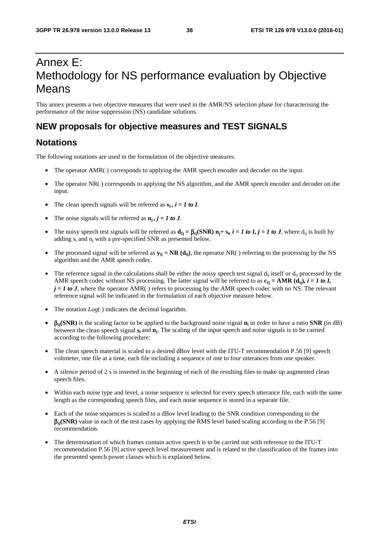## Annex E: Methodology for NS performance evaluation by Objective Means

This annex presents a two objective measures that were used in the AMR/NS selection phase for characterising the performance of the noise suppression (NS) candidate solutions.

#### **NEW proposals for objective measures and TEST SIGNALS**

#### **Notations**

The following notations are used in the formulation of the objective measures.

- The operator AMR(·) corresponds to applying the AMR speech encoder and decoder on the input.
- The operator NR(⋅) corresponds to applying the NS algorithm, and the AMR speech encoder and decoder on the input.
- The clean speech signals will be referred as  $s_i$ ,  $i = 1$  to I.
- The noise signals will be referred as  $n_i$ ,  $j = 1$  to J.
- The noisy speech test signals will be referred as  $d_{Ij} = \beta_{ij}(SNR) n_j + s_i$ ,  $i = 1$  to *I*,  $j = 1$  to *J*, where  $d_{ii}$  is built by adding s<sub>i</sub> and n<sub>i</sub> with a pre-specified SNR as presented below.
- The processed signal will be referred as  $y_{ij} = NR$  ( $d_{ij}$ ), the operator NR(⋅) referring to the processing by the NS algorithm and the AMR speech codec.
- The reference signal in the calculations shall be either the noisy speech test signal  $d_{ii}$  itself or  $d_{ii}$  processed by the AMR speech codec without NS processing. The latter signal will be referred to as  $\mathbf{c}_{Ij} = \mathbf{AMR}(\mathbf{d}_{ij})$ *, i = 1 to I,*  $j = 1$  to J, where the operator AMR(⋅) refers to processing by the AMR speech codec with no NS. The relevant reference signal will be indicated in the formulation of each objective measure below.
- The notation  $Log(\cdot)$  indicates the decimal logarithm.
- β**ij(SNR)** is the scaling factor to be applied to the background noise signal **ni** in order to have a ratio **SNR** (in dB) between the clean speech signal **si** and **nj**. The scaling of the input speech and noise signals is to be carried according to the following procedure:
- The clean speech material is scaled to a desired dBov level with the ITU-T recommendation P.56 [9] speech voltmeter, one file at a time, each file including a sequence of one to four utterances from one speaker.
- A silence period of 2 s is inserted in the beginning of each of the resulting files to make up augmented clean speech files.
- Within each noise type and level, a noise sequence is selected for every speech utterance file, each with the same length as the corresponding speech files, and each noise sequence is stored in a separate file.
- Each of the noise sequences is scaled to a dBov level leading to the SNR condition corresponding to the β**ij(SNR)** value in each of the test cases by applying the RMS level based scaling according to the P.56 [9] recommendation.
- The determination of which frames contain active speech is to be carried out with reference to the ITU-T recommendation P.56 [9] active speech level measurement and is related to the classification of the frames into the presented speech power classes which is explained below.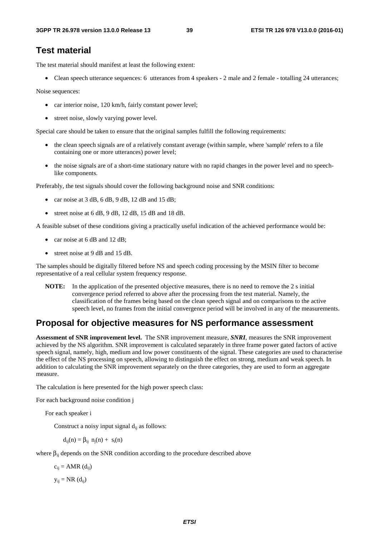#### **Test material**

The test material should manifest at least the following extent:

• Clean speech utterance sequences: 6 utterances from 4 speakers - 2 male and 2 female - totalling 24 utterances;

Noise sequences:

- car interior noise, 120 km/h, fairly constant power level;
- street noise, slowly varying power level.

Special care should be taken to ensure that the original samples fulfill the following requirements:

- the clean speech signals are of a relatively constant average (within sample, where 'sample' refers to a file containing one or more utterances) power level;
- the noise signals are of a short-time stationary nature with no rapid changes in the power level and no speechlike components.

Preferably, the test signals should cover the following background noise and SNR conditions:

- car noise at  $3$  dB,  $6$  dB,  $9$  dB,  $12$  dB and  $15$  dB;
- street noise at 6 dB, 9 dB, 12 dB, 15 dB and 18 dB.

A feasible subset of these conditions giving a practically useful indication of the achieved performance would be:

- car noise at 6 dB and 12 dB;
- street noise at 9 dB and 15 dB.

The samples should be digitally filtered before NS and speech coding processing by the MSIN filter to become representative of a real cellular system frequency response.

**NOTE:** In the application of the presented objective measures, there is no need to remove the 2 s initial convergence period referred to above after the processing from the test material. Namely, the classification of the frames being based on the clean speech signal and on comparisons to the active speech level, no frames from the initial convergence period will be involved in any of the measurements.

#### **Proposal for objective measures for NS performance assessment**

**Assessment of SNR improvement level.** The SNR improvement measure, *SNRI*, measures the SNR improvement achieved by the NS algorithm. SNR improvement is calculated separately in three frame power gated factors of active speech signal, namely, high, medium and low power constituents of the signal. These categories are used to characterise the effect of the NS processing on speech, allowing to distinguish the effect on strong, medium and weak speech. In addition to calculating the SNR improvement separately on the three categories, they are used to form an aggregate measure.

The calculation is here presented for the high power speech class:

For each background noise condition j

For each speaker i

Construct a noisy input signal  $d_{ii}$  as follows:

 $d_{ij}(n) = \beta_{ij} n_j(n) + s_i(n)$ 

where  $\beta_{ii}$  depends on the SNR condition according to the procedure described above

 $c_{ii} = AMR$  (d<sub>ij</sub>)

 $y_{ij} = NR (d_{ij})$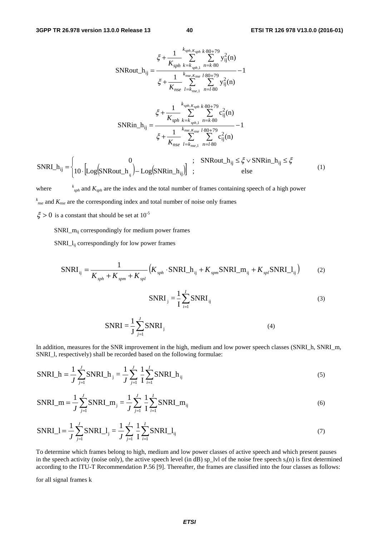$$
\xi + \frac{1}{K_{sph}} \sum_{k \text{ sph } k}^{k \text{ sph } k \text{ sph } 2} Y_{ij}^{2}(n)
$$
\n
$$
\text{SNRout\_h}_{ij} = \frac{\xi + \frac{1}{K_{sph}} \sum_{k \text{ nse. } K_{nse}^{2}} \sum_{l \text{ sph } 2}^{k \text{ sph } 2} Y_{ij}^{2}(n)}{\xi + \frac{1}{K_{nse}} \sum_{l = k_{nse, 1}}^{k \text{ sse. } K_{nse}^{2}} \sum_{n = l \text{ sph}}^{k \text{ sph } 2} Y_{ij}^{2}(n)}
$$
\n
$$
\text{SNRin\_h}_{ij} = \frac{\xi + \frac{1}{K_{sph}} \sum_{k \text{ sph } k}^{k \text{ sph } k \text{ sph } 2} Y_{ij}^{2}(n)}{\xi + \frac{1}{K_{nse}} \sum_{l = k_{nse, 1}}^{k \text{ sph } k \text{ sph } 2} Y_{ij}^{2}(n)} - 1
$$
\n
$$
\xi + \frac{1}{K_{nse}} \sum_{l = k_{nse, 1}}^{k \text{ sse. } K_{nse}^{2}} \sum_{n = l \text{ sph } 2}^{k \text{ sph } 2} C_{ij}^{2}(n)
$$
\n
$$
\text{SNRout\_h}_{ij} \leq \xi \vee \text{SNRin\_h}_{ij} \leq \xi
$$
\n
$$
\text{SNRout\_h}_{ij} \leq \xi \leq \text{SNRin\_h}_{ij} \leq \xi \tag{1}
$$

 $\left\{10 \cdot \left[\text{Log}(\text{SNRout}_{\text{u}}) - \text{Log}(\text{SNRin}_{\text{u}}) \right]\right\}$  $\overline{a}$ ⎧  $=\begin{cases} 0 & ; \quad \text{SNRout}_{ij} \leq \xi \vee \text{SNRin}_{ij} \leq \xi \leq 0 \ 10 \cdot \left[\text{Log}(\text{SNRout}_{ij}) - \text{Log}(\text{SNRin}_{ij})\right] & ; \quad \text{else} \end{cases}$ SNRI\_h <sup>ij</sup> | 10 ·  $\lfloor$ Log(SNRout\_h<sub>ij</sub> ) – Log(SNRin\_h<sub>ij</sub> ij

where *<sup>k</sup>*  $s_{\text{sph}}$  and  $K_{\text{sph}}$  are the index and the total number of frames containing speech of a high power *k nse* and *Knse* are the corresponding index and total number of noise only frames

 $\xi > 0$  is a constant that should be set at  $10^{-5}$ 

SNRI\_mij correspondingly for medium power frames

SNRI\_lij correspondingly for low power frames

$$
SNRI_{ij} = \frac{1}{K_{sph} + K_{spn} + K_{spl}} \left( K_{sph} \cdot SNRI_h + K_{spm} SNRI_m + K_{spl} SNRI_l_{ij} \right) \tag{2}
$$

$$
SNRI_j = \frac{1}{I} \sum_{i=1}^{I} SNRI_{ij}
$$
 (3)

$$
SNRI = \frac{1}{J} \sum_{j=1}^{J} SNRI_j
$$
\n(4)

In addition, measures for the SNR improvement in the high, medium and low power speech classes (SNRI\_h, SNRI\_m, SNRI\_l, respectively) shall be recorded based on the following formulae:

SNRI<sub>h</sub> = 
$$
\frac{1}{J} \sum_{j=1}^{J} SNRI_{j} = \frac{1}{J} \sum_{j=1}^{J} \frac{1}{I} \sum_{i=1}^{I} SNRI_{j}
$$
 (5)

SNRI\_m = 
$$
\frac{1}{J} \sum_{j=1}^{J} SNRI_m
$$
  $= \frac{1}{J} \sum_{j=1}^{J} \frac{1}{I} \sum_{i=1}^{I} SNRI_m$  (6)

$$
SNRI_{\_} = \frac{1}{J} \sum_{j=1}^{J} SNRI_{\_} = \frac{1}{J} \sum_{j=1}^{J} \frac{1}{I} \sum_{i=1}^{I} SNRI_{\_} = \frac{1}{1}
$$
\n(7)

To determine which frames belong to high, medium and low power classes of active speech and which present pauses in the speech activity (noise only), the active speech level (in dB) sp\_lvl of the noise free speech  $s_i(n)$  is first determined according to the ITU-T Recommendation P.56 [9]. Thereafter, the frames are classified into the four classes as follows:

for all signal frames k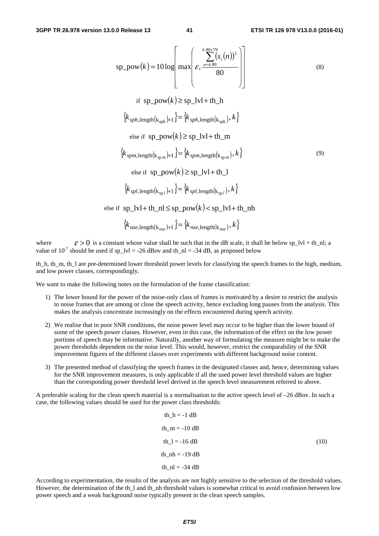sp\_pow(k) = 10 log  
\n
$$
\begin{bmatrix}\n\text{max}\n\begin{bmatrix}\n\frac{k \cdot 80 + 79}{m \cdot 80} & n \cdot 80 \\
\epsilon, \frac{n = k \cdot 80}{80}\n\end{bmatrix}\n\end{bmatrix}
$$
\n(s)  
\nif sp\_pow(k) \ge sp\_lvl + th\_h  
\n{k<sub>sph, length(k<sub>sph</sub>) + 1} = {k<sub>sph, length(k<sub>sph</sub>), k}  
\nelse if sp\_pow(k) \ge sp\_lvl + th\_m  
\n{k<sub>spm, length(k<sub>spm</sub>) + 1} = {k<sub>spm, length(k<sub>spm</sub>), k}   
\nelse if sp\_pow(k) \ge sp\_lvl + th\_l  
\n{k<sub>spl, length(k<sub>spl</sub>) + 1} = {k<sub>spl, length(k<sub>spl</sub>), k}   
\nelse if sp\_lvw(k) \ge sp\_lvl + th\_l  
\n{k<sub>spl, length(k<sub>spl</sub>) + 1} = {k<sub>spl, length(k<sub>spl</sub>), k}   
\nelse if sp\_lvl + th\_l = sp\_pow(k) < sp\_lvl + th\_l</sub></sub></sub></sub></sub></sub></sub></sub>

where  $\varepsilon > 0$  is a constant whose value shall be such that in the dB scale, it shall be below sp\_lvl + th\_nl; a value of  $10^{-7}$  should be used if sp\_lvl = -26 dBov and th\_nl = -34 dB, as proposed below

th\_h, th\_m, th\_l are pre-determined lower threshold power levels for classifying the speech frames to the high, medium, and low power classes, correspondingly.

We want to make the following notes on the formulation of the frame classification:

- 1) The lower bound for the power of the noise-only class of frames is motivated by a desire to restrict the analysis to noise frames that are among or close the speech activity, hence excluding long pauses from the analysis. This makes the analysis concentrate increasingly on the effects encountered during speech activity.
- 2) We realise that in poor SNR conditions, the noise power level may occur to be higher than the lower bound of some of the speech power classes. However, even in this case, the information of the effect on the low power portions of speech may be informative. Naturally, another way of formulating the measure might be to make the power thresholds dependent on the noise level. This would, however, restrict the comparability of the SNR improvement figures of the different classes over experiments with different background noise content.
- 3) The presented method of classifying the speech frames in the designated classes and, hence, determining values for the SNR improvement measures, is only applicable if all the used power level threshold values are higher than the corresponding power threshold level derived in the speech level measurement referred to above.

A preferable scaling for the clean speech material is a normalisation to the active speech level of  $-26$  dBov. In such a case, the following values should be used for the power class thresholds:

$$
th_h = -1 dB
$$
  
\n
$$
th_m = -10 dB
$$
  
\n
$$
th_l = -16 dB
$$
  
\n
$$
th_m = -19 dB
$$
  
\n
$$
th_m = -34 dB
$$
  
\n(10)

According to experimentation, the results of the analysis are not highly sensitive to the selection of the threshold values. However, the determination of the th\_l and th\_nh threshold values is somewhat critical to avoid confusion between low power speech and a weak background noise typically present in the clean speech samples.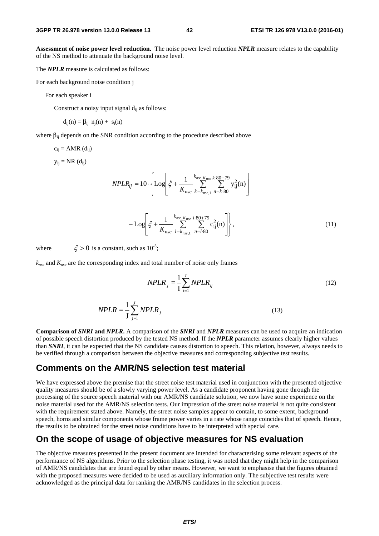**Assessment of noise power level reduction.** The noise power level reduction *NPLR* measure relates to the capability of the NS method to attenuate the background noise level.

The *NPLR* measure is calculated as follows:

For each background noise condition j

For each speaker i

Construct a noisy input signal  $d_{ii}$  as follows:

$$
d_{ij}(n) = \beta_{ij} \ n_j(n) + s_i(n)
$$

where  $\beta_{ii}$  depends on the SNR condition according to the procedure described above

$$
c_{ij} = AMR (d_{ij})
$$

 $y_{ij} = NR(d_{ij})$ 

$$
NPLR_{ij} = 10 \cdot \left\{ \text{Log}\left[ \xi + \frac{1}{K_{nse}} \sum_{k=k_{nse,1}}^{k_{nse,K_{nse}} k \cdot 80 + 79} \sum_{n=k \cdot 80}^{27} y_{ij}^2(n) \right] \right\}
$$

$$
-\mathrm{Log}\left[\xi + \frac{1}{K_{nse}} \sum_{l=k_{nse,1}}^{k_{nse,K_{nse}}} \sum_{n=l \cdot 80}^{180+79} c_{ij}^2(n)\right],\tag{11}
$$

where  $\xi > 0$  is a constant, such as  $10^{-5}$ ;

*knse* and *Knse* are the corresponding index and total number of noise only frames

$$
NPLR_j = \frac{1}{I} \sum_{i=1}^{I} NPLR_{ij}
$$
\n(12)

$$
NPLR = \frac{1}{J} \sum_{j=1}^{J} NPLR_j
$$
\n(13)

**Comparison of** *SNRI* **and** *NPLR***.** A comparison of the *SNRI* and *NPLR* measures can be used to acquire an indication of possible speech distortion produced by the tested NS method. If the *NPLR* parameter assumes clearly higher values than *SNRI*, it can be expected that the NS candidate causes distortion to speech. This relation, however, always needs to be verified through a comparison between the objective measures and corresponding subjective test results.

#### **Comments on the AMR/NS selection test material**

We have expressed above the premise that the street noise test material used in conjunction with the presented objective quality measures should be of a slowly varying power level. As a candidate proponent having gone through the processing of the source speech material with our AMR/NS candidate solution, we now have some experience on the noise material used for the AMR/NS selection tests. Our impression of the street noise material is not quite consistent with the requirement stated above. Namely, the street noise samples appear to contain, to some extent, background speech, horns and similar components whose frame power varies in a rate whose range coincides that of speech. Hence, the results to be obtained for the street noise conditions have to be interpreted with special care.

#### **On the scope of usage of objective measures for NS evaluation**

The objective measures presented in the present document are intended for characterising some relevant aspects of the performance of NS algorithms. Prior to the selection phase testing, it was noted that they might help in the comparison of AMR/NS candidates that are found equal by other means. However, we want to emphasise that the figures obtained with the proposed measures were decided to be used as auxiliary information only. The subjective test results were acknowledged as the principal data for ranking the AMR/NS candidates in the selection process.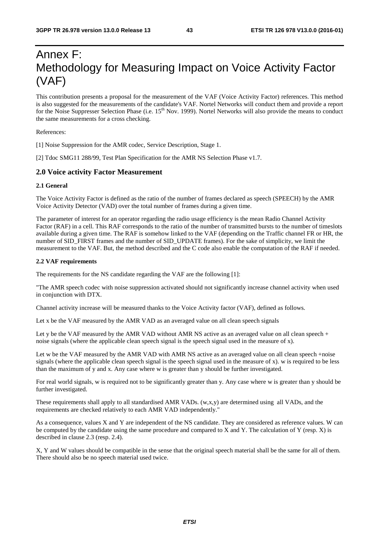## Annex F: Methodology for Measuring Impact on Voice Activity Factor (VAF)

This contribution presents a proposal for the measurement of the VAF (Voice Activity Factor) references. This method is also suggested for the measurements of the candidate's VAF. Nortel Networks will conduct them and provide a report for the Noise Suppresser Selection Phase (i.e. 15<sup>th</sup> Nov. 1999). Nortel Networks will also provide the means to conduct the same measurements for a cross checking.

References:

[1] Noise Suppression for the AMR codec, Service Description, Stage 1.

[2] Tdoc SMG11 288/99, Test Plan Specification for the AMR NS Selection Phase v1.7.

#### **2.0 Voice activity Factor Measurement**

#### **2.1 General**

The Voice Activity Factor is defined as the ratio of the number of frames declared as speech (SPEECH) by the AMR Voice Activity Detector (VAD) over the total number of frames during a given time.

The parameter of interest for an operator regarding the radio usage efficiency is the mean Radio Channel Activity Factor (RAF) in a cell. This RAF corresponds to the ratio of the number of transmitted bursts to the number of timeslots available during a given time. The RAF is somehow linked to the VAF (depending on the Traffic channel FR or HR, the number of SID\_FIRST frames and the number of SID\_UPDATE frames). For the sake of simplicity, we limit the measurement to the VAF. But, the method described and the C code also enable the computation of the RAF if needed.

#### **2.2 VAF requirements**

The requirements for the NS candidate regarding the VAF are the following [1]:

"The AMR speech codec with noise suppression activated should not significantly increase channel activity when used in conjunction with DTX.

Channel activity increase will be measured thanks to the Voice Activity factor (VAF), defined as follows.

Let x be the VAF measured by the AMR VAD as an averaged value on all clean speech signals

Let y be the VAF measured by the AMR VAD without AMR NS active as an averaged value on all clean speech + noise signals (where the applicable clean speech signal is the speech signal used in the measure of x).

Let w be the VAF measured by the AMR VAD with AMR NS active as an averaged value on all clean speech +noise signals (where the applicable clean speech signal is the speech signal used in the measure of x). w is required to be less than the maximum of y and x. Any case where w is greater than y should be further investigated.

For real world signals, w is required not to be significantly greater than y. Any case where w is greater than y should be further investigated.

These requirements shall apply to all standardised AMR VADs. (w,x,y) are determined using all VADs, and the requirements are checked relatively to each AMR VAD independently."

As a consequence, values X and Y are independent of the NS candidate. They are considered as reference values. W can be computed by the candidate using the same procedure and compared to X and Y. The calculation of Y (resp. X) is described in clause 2.3 (resp. 2.4).

X, Y and W values should be compatible in the sense that the original speech material shall be the same for all of them. There should also be no speech material used twice.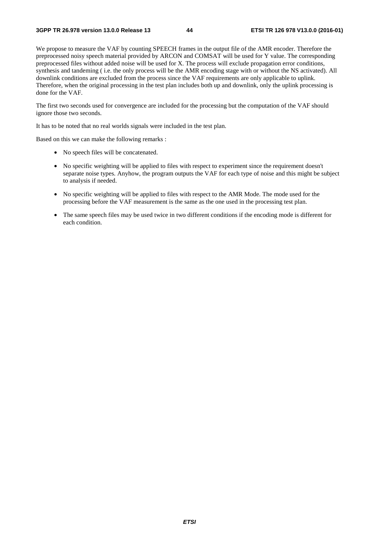We propose to measure the VAF by counting SPEECH frames in the output file of the AMR encoder. Therefore the preprocessed noisy speech material provided by ARCON and COMSAT will be used for Y value. The corresponding preprocessed files without added noise will be used for X. The process will exclude propagation error conditions, synthesis and tandeming ( i.e. the only process will be the AMR encoding stage with or without the NS activated). All downlink conditions are excluded from the process since the VAF requirements are only applicable to uplink. Therefore, when the original processing in the test plan includes both up and downlink, only the uplink processing is done for the VAF.

The first two seconds used for convergence are included for the processing but the computation of the VAF should ignore those two seconds.

It has to be noted that no real worlds signals were included in the test plan.

Based on this we can make the following remarks :

- No speech files will be concatenated.
- No specific weighting will be applied to files with respect to experiment since the requirement doesn't separate noise types. Anyhow, the program outputs the VAF for each type of noise and this might be subject to analysis if needed.
- No specific weighting will be applied to files with respect to the AMR Mode. The mode used for the processing before the VAF measurement is the same as the one used in the processing test plan.
- The same speech files may be used twice in two different conditions if the encoding mode is different for each condition.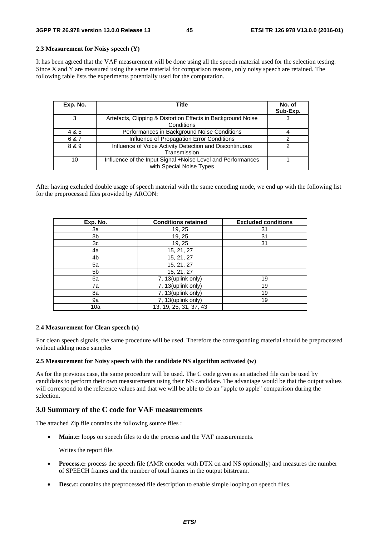#### **2.3 Measurement for Noisy speech (Y)**

It has been agreed that the VAF measurement will be done using all the speech material used for the selection testing. Since X and Y are measured using the same material for comparison reasons, only noisy speech are retained. The following table lists the experiments potentially used for the computation.

| Exp. No. | Title                                                                                   | No. of<br>Sub-Exp. |
|----------|-----------------------------------------------------------------------------------------|--------------------|
| 3        | Artefacts, Clipping & Distortion Effects in Background Noise<br>Conditions              |                    |
| 4 & 5    | Performances in Background Noise Conditions                                             |                    |
| 6 & 7    | Influence of Propagation Error Conditions                                               |                    |
| 8 & 9    | Influence of Voice Activity Detection and Discontinuous<br>Transmission                 | ົ                  |
| 10       | Influence of the Input Signal +Noise Level and Performances<br>with Special Noise Types |                    |

After having excluded double usage of speech material with the same encoding mode, we end up with the following list for the preprocessed files provided by ARCON:

| Exp. No. | <b>Conditions retained</b> | <b>Excluded conditions</b> |
|----------|----------------------------|----------------------------|
| За       | 19, 25                     | 31                         |
| 3b       | 19, 25                     | 31                         |
| 3c       | 19, 25                     | 31                         |
| 4a       | 15, 21, 27                 |                            |
| 4b       | 15, 21, 27                 |                            |
| 5a       | 15, 21, 27                 |                            |
| 5b       | 15, 21, 27                 |                            |
| 6a       | 7, 13(uplink only)         | 19                         |
| 7a       | 7, 13(uplink only)         | 19                         |
| 8a       | 7, 13(uplink only)         | 19                         |
| 9а       | 7, 13(uplink only)         | 19                         |
| 10a      | 13, 19, 25, 31, 37, 43     |                            |

#### **2.4 Measurement for Clean speech (x)**

For clean speech signals, the same procedure will be used. Therefore the corresponding material should be preprocessed without adding noise samples

#### **2.5 Measurement for Noisy speech with the candidate NS algorithm activated (w)**

As for the previous case, the same procedure will be used. The C code given as an attached file can be used by candidates to perform their own measurements using their NS candidate. The advantage would be that the output values will correspond to the reference values and that we will be able to do an "apple to apple" comparison during the selection.

#### **3.0 Summary of the C code for VAF measurements**

The attached Zip file contains the following source files :

• **Main.c:** loops on speech files to do the process and the VAF measurements.

Writes the report file.

- **Process.c:** process the speech file (AMR encoder with DTX on and NS optionally) and measures the number of SPEECH frames and the number of total frames in the output bitstream.
- **Desc.c:** contains the preprocessed file description to enable simple looping on speech files.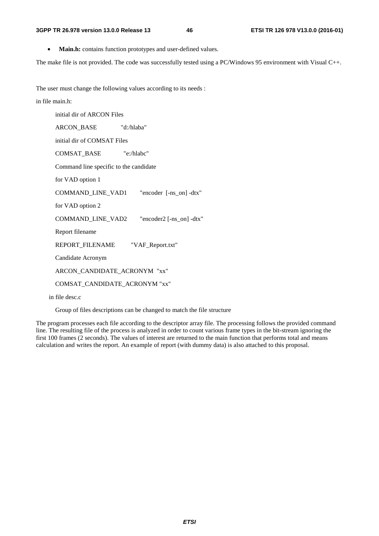• **Main.h:** contains function prototypes and user-defined values.

The make file is not provided. The code was successfully tested using a PC/Windows 95 environment with Visual C++.

The user must change the following values according to its needs :

#### in file main.h:

initial dir of ARCON Files

ARCON\_BASE "d:/hlaba"

initial dir of COMSAT Files

COMSAT\_BASE "e:/hlabc"

Command line specific to the candidate

for VAD option 1

COMMAND\_LINE\_VAD1 "encoder [-ns\_on] -dtx"

for VAD option 2

COMMAND\_LINE\_VAD2 "encoder2 [-ns\_on] -dtx"

Report filename

REPORT\_FILENAME "VAF\_Report.txt"

Candidate Acronym

ARCON\_CANDIDATE\_ACRONYM "xx"

COMSAT\_CANDIDATE\_ACRONYM "xx"

in file desc.c

Group of files descriptions can be changed to match the file structure

The program processes each file according to the descriptor array file. The processing follows the provided command line. The resulting file of the process is analyzed in order to count various frame types in the bit-stream ignoring the first 100 frames (2 seconds). The values of interest are returned to the main function that performs total and means calculation and writes the report. An example of report (with dummy data) is also attached to this proposal.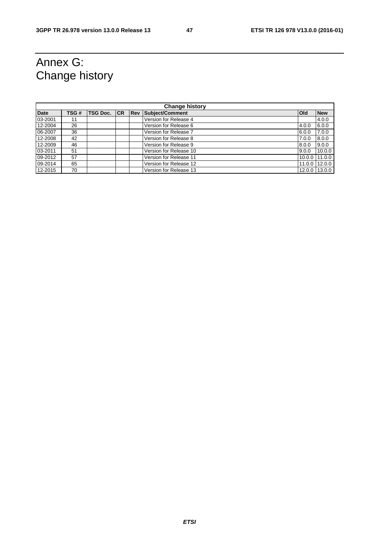## Annex G: Change history

| <b>Change history</b> |      |             |  |             |                        |        |            |
|-----------------------|------|-------------|--|-------------|------------------------|--------|------------|
| <b>Date</b>           | TSG# | TSG Doc. CR |  | <b>IRev</b> | <b>Subject/Comment</b> | lOld   | <b>New</b> |
| 03-2001               | 11   |             |  |             | Version for Release 4  |        | 4.0.0      |
| 12-2004               | 26   |             |  |             | Version for Release 6  | 4.0.0  | 6.0.0      |
| 06-2007               | 36   |             |  |             | Version for Release 7  | 6.0.0  | 7.0.0      |
| 12-2008               | 42   |             |  |             | Version for Release 8  | 7.0.0  | 8.0.0      |
| 12-2009               | 46   |             |  |             | Version for Release 9  | 8.0.0  | 9.0.0      |
| 03-2011               | 51   |             |  |             | Version for Release 10 | 9.0.0  | 10.0.0     |
| 09-2012               | 57   |             |  |             | Version for Release 11 | 10.0.0 | 11.0.0     |
| 09-2014               | 65   |             |  |             | Version for Release 12 | 11.0.0 | 12.0.0     |
| 12-2015               | 70   |             |  |             | Version for Release 13 | 12.0.0 | 13.0.0     |